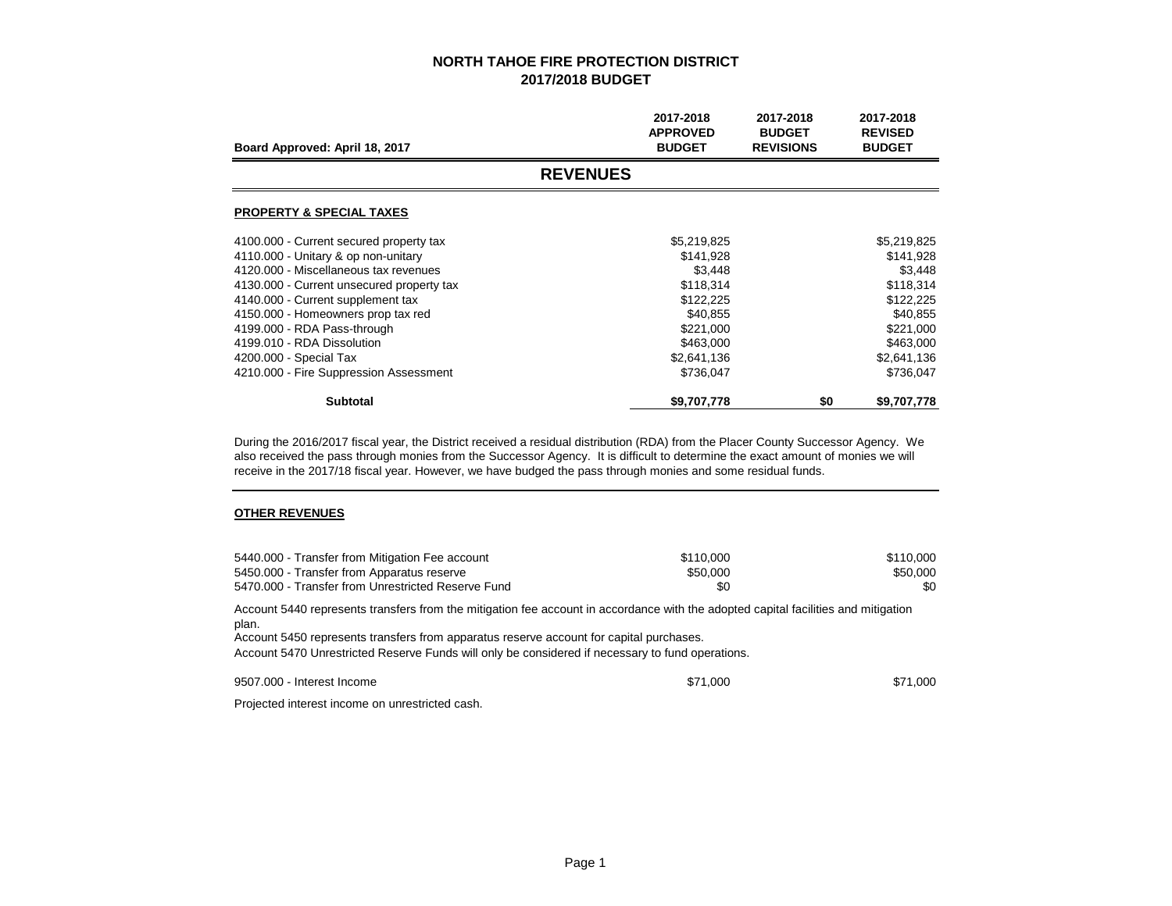| Board Approved: April 18, 2017            | 2017-2018<br><b>APPROVED</b><br><b>BUDGET</b> | 2017-2018<br><b>BUDGET</b><br><b>REVISIONS</b> | 2017-2018<br><b>REVISED</b><br><b>BUDGET</b> |  |  |
|-------------------------------------------|-----------------------------------------------|------------------------------------------------|----------------------------------------------|--|--|
| <b>REVENUES</b>                           |                                               |                                                |                                              |  |  |
| <b>PROPERTY &amp; SPECIAL TAXES</b>       |                                               |                                                |                                              |  |  |
| 4100.000 - Current secured property tax   | \$5,219,825                                   |                                                | \$5,219,825                                  |  |  |
| 4110.000 - Unitary & op non-unitary       | \$141,928                                     |                                                | \$141,928                                    |  |  |
| 4120.000 - Miscellaneous tax revenues     | \$3,448                                       |                                                | \$3,448                                      |  |  |
| 4130.000 - Current unsecured property tax | \$118,314                                     |                                                | \$118,314                                    |  |  |
| 4140.000 - Current supplement tax         | \$122,225                                     |                                                | \$122,225                                    |  |  |
| 4150.000 - Homeowners prop tax red        | \$40,855                                      |                                                | \$40,855                                     |  |  |
| 4199.000 - RDA Pass-through               | \$221,000                                     |                                                | \$221,000                                    |  |  |
| 4199.010 - RDA Dissolution                | \$463,000                                     |                                                | \$463,000                                    |  |  |
| 4200.000 - Special Tax                    | \$2,641,136                                   |                                                | \$2,641,136                                  |  |  |
| 4210.000 - Fire Suppression Assessment    | \$736,047                                     |                                                | \$736,047                                    |  |  |
| <b>Subtotal</b>                           | \$9,707,778                                   | \$0                                            | \$9,707,778                                  |  |  |

During the 2016/2017 fiscal year, the District received a residual distribution (RDA) from the Placer County Successor Agency. We also received the pass through monies from the Successor Agency. It is difficult to determine the exact amount of monies we will receive in the 2017/18 fiscal year. However, we have budged the pass through monies and some residual funds.

#### **OTHER REVENUES**

| 5440.000 - Transfer from Mitigation Fee account    | \$110,000 | \$110,000 |
|----------------------------------------------------|-----------|-----------|
| 5450.000 - Transfer from Apparatus reserve         | \$50,000  | \$50,000  |
| 5470,000 - Transfer from Unrestricted Reserve Fund | \$0       | \$0       |

Account 5440 represents transfers from the mitigation fee account in accordance with the adopted capital facilities and mitigation plan.

Account 5450 represents transfers from apparatus reserve account for capital purchases.

Account 5470 Unrestricted Reserve Funds will only be considered if necessary to fund operations.

9507.000 - Interest Income \$71,000 \$71,000

Projected interest income on unrestricted cash.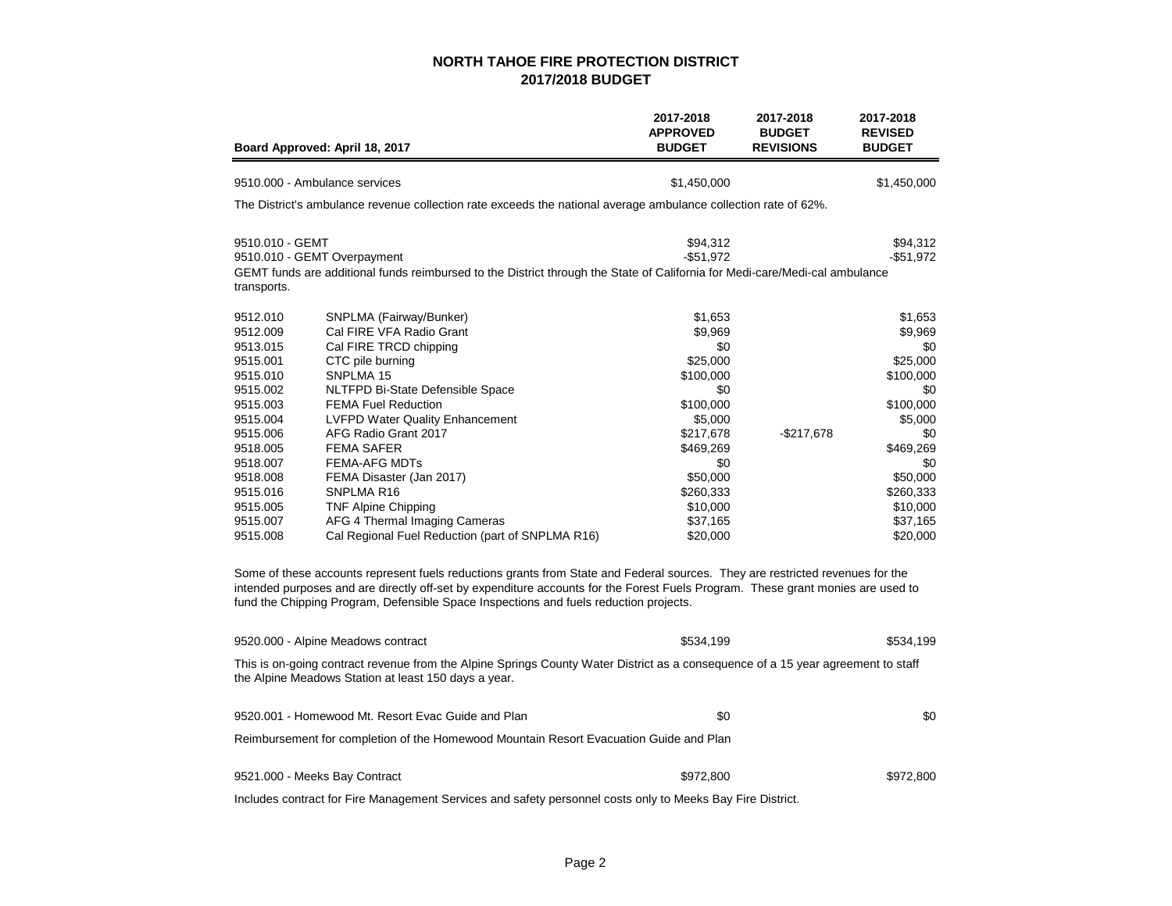|                                                                                                                                                                                              | Board Approved: April 18, 2017                                                                                                                                                                                                                                                                                                                                                                                                                                                                                                                                                                                                                                                                                            | 2017-2018<br><b>APPROVED</b><br><b>BUDGET</b>                                                                                                                                   | 2017-2018<br><b>BUDGET</b><br><b>REVISIONS</b> | 2017-2018<br><b>REVISED</b><br><b>BUDGET</b>                                                                                                                              |
|----------------------------------------------------------------------------------------------------------------------------------------------------------------------------------------------|---------------------------------------------------------------------------------------------------------------------------------------------------------------------------------------------------------------------------------------------------------------------------------------------------------------------------------------------------------------------------------------------------------------------------------------------------------------------------------------------------------------------------------------------------------------------------------------------------------------------------------------------------------------------------------------------------------------------------|---------------------------------------------------------------------------------------------------------------------------------------------------------------------------------|------------------------------------------------|---------------------------------------------------------------------------------------------------------------------------------------------------------------------------|
|                                                                                                                                                                                              | 9510.000 - Ambulance services                                                                                                                                                                                                                                                                                                                                                                                                                                                                                                                                                                                                                                                                                             | \$1,450,000                                                                                                                                                                     |                                                | \$1,450,000                                                                                                                                                               |
|                                                                                                                                                                                              | The District's ambulance revenue collection rate exceeds the national average ambulance collection rate of 62%.                                                                                                                                                                                                                                                                                                                                                                                                                                                                                                                                                                                                           |                                                                                                                                                                                 |                                                |                                                                                                                                                                           |
| 9510.010 - GEMT<br>transports.                                                                                                                                                               | 9510.010 - GEMT Overpayment<br>GEMT funds are additional funds reimbursed to the District through the State of California for Medi-care/Medi-cal ambulance                                                                                                                                                                                                                                                                                                                                                                                                                                                                                                                                                                | \$94,312<br>$-$51,972$                                                                                                                                                          |                                                | \$94,312<br>$-$ \$51,972                                                                                                                                                  |
| 9512.010<br>9512.009<br>9513.015<br>9515.001<br>9515.010<br>9515.002<br>9515.003<br>9515.004<br>9515.006<br>9518.005<br>9518.007<br>9518.008<br>9515.016<br>9515.005<br>9515.007<br>9515.008 | SNPLMA (Fairway/Bunker)<br>Cal FIRE VFA Radio Grant<br>Cal FIRE TRCD chipping<br>CTC pile burning<br>SNPLMA 15<br>NLTFPD Bi-State Defensible Space<br><b>FEMA Fuel Reduction</b><br><b>LVFPD Water Quality Enhancement</b><br>AFG Radio Grant 2017<br><b>FEMA SAFER</b><br><b>FEMA-AFG MDTs</b><br>FEMA Disaster (Jan 2017)<br>SNPLMA R16<br>TNF Alpine Chipping<br>AFG 4 Thermal Imaging Cameras<br>Cal Regional Fuel Reduction (part of SNPLMA R16)<br>Some of these accounts represent fuels reductions grants from State and Federal sources. They are restricted revenues for the<br>intended purposes and are directly off-set by expenditure accounts for the Forest Fuels Program. These grant monies are used to | \$1,653<br>\$9,969<br>\$0<br>\$25,000<br>\$100,000<br>\$0<br>\$100,000<br>\$5,000<br>\$217,678<br>\$469,269<br>\$0<br>\$50,000<br>\$260,333<br>\$10,000<br>\$37,165<br>\$20,000 | $-$217,678$                                    | \$1,653<br>\$9,969<br>\$0<br>\$25,000<br>\$100,000<br>\$0<br>\$100,000<br>\$5,000<br>\$0<br>\$469,269<br>\$0<br>\$50,000<br>\$260,333<br>\$10,000<br>\$37,165<br>\$20,000 |
|                                                                                                                                                                                              | fund the Chipping Program, Defensible Space Inspections and fuels reduction projects.                                                                                                                                                                                                                                                                                                                                                                                                                                                                                                                                                                                                                                     |                                                                                                                                                                                 |                                                |                                                                                                                                                                           |
|                                                                                                                                                                                              | 9520.000 - Alpine Meadows contract<br>This is on-going contract revenue from the Alpine Springs County Water District as a consequence of a 15 year agreement to staff<br>the Alpine Meadows Station at least 150 days a year.                                                                                                                                                                                                                                                                                                                                                                                                                                                                                            | \$534,199                                                                                                                                                                       |                                                | \$534,199                                                                                                                                                                 |
|                                                                                                                                                                                              | 9520.001 - Homewood Mt. Resort Evac Guide and Plan                                                                                                                                                                                                                                                                                                                                                                                                                                                                                                                                                                                                                                                                        | \$0                                                                                                                                                                             |                                                | \$0                                                                                                                                                                       |
|                                                                                                                                                                                              | Reimbursement for completion of the Homewood Mountain Resort Evacuation Guide and Plan                                                                                                                                                                                                                                                                                                                                                                                                                                                                                                                                                                                                                                    |                                                                                                                                                                                 |                                                |                                                                                                                                                                           |
|                                                                                                                                                                                              | 9521.000 - Meeks Bay Contract                                                                                                                                                                                                                                                                                                                                                                                                                                                                                                                                                                                                                                                                                             | \$972,800                                                                                                                                                                       |                                                | \$972,800                                                                                                                                                                 |
|                                                                                                                                                                                              | Includes contract for Fire Management Services and safety personnel costs only to Meeks Bay Fire District.                                                                                                                                                                                                                                                                                                                                                                                                                                                                                                                                                                                                                |                                                                                                                                                                                 |                                                |                                                                                                                                                                           |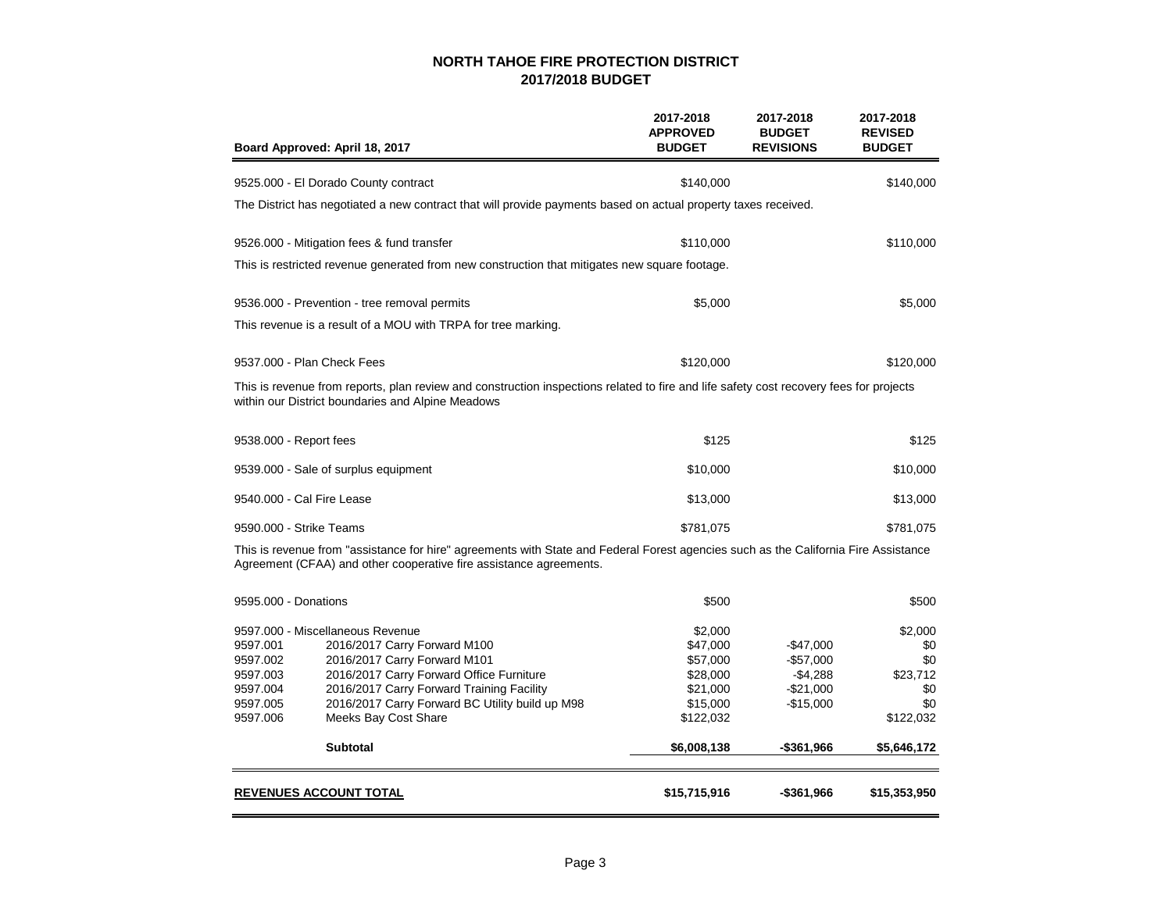| Board Approved: April 18, 2017                                                                                                                                                                                                                                                                                                                                  | 2017-2018<br><b>APPROVED</b><br><b>BUDGET</b>                                                   | 2017-2018<br><b>BUDGET</b><br><b>REVISIONS</b>                                  | 2017-2018<br><b>REVISED</b><br><b>BUDGET</b>                                |
|-----------------------------------------------------------------------------------------------------------------------------------------------------------------------------------------------------------------------------------------------------------------------------------------------------------------------------------------------------------------|-------------------------------------------------------------------------------------------------|---------------------------------------------------------------------------------|-----------------------------------------------------------------------------|
| 9525.000 - El Dorado County contract                                                                                                                                                                                                                                                                                                                            | \$140,000                                                                                       |                                                                                 | \$140,000                                                                   |
| The District has negotiated a new contract that will provide payments based on actual property taxes received.                                                                                                                                                                                                                                                  |                                                                                                 |                                                                                 |                                                                             |
| 9526.000 - Mitigation fees & fund transfer                                                                                                                                                                                                                                                                                                                      | \$110,000                                                                                       |                                                                                 | \$110,000                                                                   |
| This is restricted revenue generated from new construction that mitigates new square footage.                                                                                                                                                                                                                                                                   |                                                                                                 |                                                                                 |                                                                             |
| 9536.000 - Prevention - tree removal permits                                                                                                                                                                                                                                                                                                                    | \$5,000                                                                                         |                                                                                 | \$5,000                                                                     |
| This revenue is a result of a MOU with TRPA for tree marking.                                                                                                                                                                                                                                                                                                   |                                                                                                 |                                                                                 |                                                                             |
| 9537,000 - Plan Check Fees                                                                                                                                                                                                                                                                                                                                      | \$120,000                                                                                       |                                                                                 | \$120,000                                                                   |
| This is revenue from reports, plan review and construction inspections related to fire and life safety cost recovery fees for projects<br>within our District boundaries and Alpine Meadows                                                                                                                                                                     |                                                                                                 |                                                                                 |                                                                             |
| 9538.000 - Report fees                                                                                                                                                                                                                                                                                                                                          | \$125                                                                                           |                                                                                 | \$125                                                                       |
| 9539.000 - Sale of surplus equipment                                                                                                                                                                                                                                                                                                                            | \$10,000                                                                                        |                                                                                 | \$10,000                                                                    |
| 9540.000 - Cal Fire Lease                                                                                                                                                                                                                                                                                                                                       | \$13,000                                                                                        |                                                                                 | \$13,000                                                                    |
| 9590.000 - Strike Teams                                                                                                                                                                                                                                                                                                                                         | \$781,075                                                                                       |                                                                                 | \$781,075                                                                   |
| This is revenue from "assistance for hire" agreements with State and Federal Forest agencies such as the California Fire Assistance<br>Agreement (CFAA) and other cooperative fire assistance agreements.                                                                                                                                                       |                                                                                                 |                                                                                 |                                                                             |
| 9595,000 - Donations                                                                                                                                                                                                                                                                                                                                            | \$500                                                                                           |                                                                                 | \$500                                                                       |
| 9597.000 - Miscellaneous Revenue<br>9597.001<br>2016/2017 Carry Forward M100<br>9597.002<br>2016/2017 Carry Forward M101<br>2016/2017 Carry Forward Office Furniture<br>9597.003<br>9597.004<br>2016/2017 Carry Forward Training Facility<br>9597.005<br>2016/2017 Carry Forward BC Utility build up M98<br>9597.006<br>Meeks Bay Cost Share<br><b>Subtotal</b> | \$2,000<br>\$47,000<br>\$57,000<br>\$28,000<br>\$21,000<br>\$15,000<br>\$122,032<br>\$6,008,138 | $-$47,000$<br>$-$57,000$<br>$-$4,288$<br>$-$21,000$<br>$-$15,000$<br>-\$361,966 | \$2,000<br>\$0<br>\$0<br>\$23,712<br>\$0<br>\$0<br>\$122,032<br>\$5,646,172 |
| <b>REVENUES ACCOUNT TOTAL</b>                                                                                                                                                                                                                                                                                                                                   | \$15,715,916                                                                                    | -\$361,966                                                                      | \$15,353,950                                                                |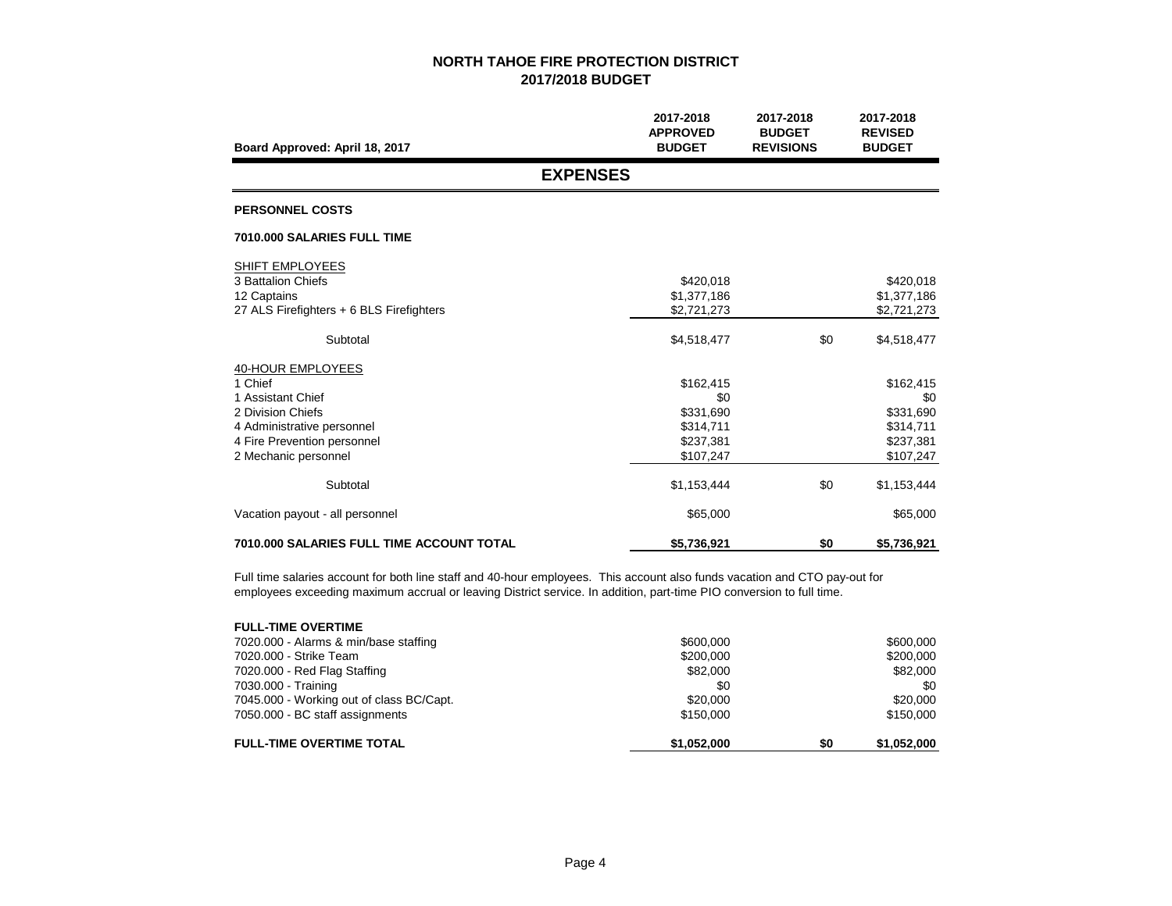| Board Approved: April 18, 2017                                                                                                                              | 2017-2018<br><b>APPROVED</b><br><b>BUDGET</b>                        | 2017-2018<br><b>BUDGET</b><br><b>REVISIONS</b> | 2017-2018<br><b>REVISED</b><br><b>BUDGET</b>                         |
|-------------------------------------------------------------------------------------------------------------------------------------------------------------|----------------------------------------------------------------------|------------------------------------------------|----------------------------------------------------------------------|
| <b>EXPENSES</b>                                                                                                                                             |                                                                      |                                                |                                                                      |
| <b>PERSONNEL COSTS</b>                                                                                                                                      |                                                                      |                                                |                                                                      |
| 7010.000 SALARIES FULL TIME                                                                                                                                 |                                                                      |                                                |                                                                      |
| SHIFT EMPLOYEES<br>3 Battalion Chiefs<br>12 Captains<br>27 ALS Firefighters + 6 BLS Firefighters                                                            | \$420,018<br>\$1,377,186<br>\$2,721,273                              |                                                | \$420,018<br>\$1,377,186<br>\$2,721,273                              |
| Subtotal                                                                                                                                                    | \$4,518,477                                                          | \$0                                            | \$4,518,477                                                          |
| 40-HOUR EMPLOYEES<br>1 Chief<br>1 Assistant Chief<br>2 Division Chiefs<br>4 Administrative personnel<br>4 Fire Prevention personnel<br>2 Mechanic personnel | \$162,415<br>\$0<br>\$331,690<br>\$314,711<br>\$237,381<br>\$107,247 |                                                | \$162,415<br>\$0<br>\$331,690<br>\$314,711<br>\$237,381<br>\$107,247 |
| Subtotal                                                                                                                                                    | \$1,153,444                                                          | \$0                                            | \$1,153,444                                                          |
| Vacation payout - all personnel                                                                                                                             | \$65,000                                                             |                                                | \$65,000                                                             |
| <b>7010.000 SALARIES FULL TIME ACCOUNT TOTAL</b>                                                                                                            | \$5,736,921                                                          | \$0                                            | \$5,736,921                                                          |

Full time salaries account for both line staff and 40-hour employees. This account also funds vacation and CTO pay-out for employees exceeding maximum accrual or leaving District service. In addition, part-time PIO conversion to full time.

| <b>FULL-TIME OVERTIME</b>                |             |     |             |
|------------------------------------------|-------------|-----|-------------|
| 7020.000 - Alarms & min/base staffing    | \$600,000   |     | \$600,000   |
| 7020,000 - Strike Team                   | \$200,000   |     | \$200,000   |
| 7020.000 - Red Flag Staffing             | \$82,000    |     | \$82,000    |
| 7030.000 - Training                      | \$0         |     | \$0         |
| 7045.000 - Working out of class BC/Capt. | \$20,000    |     | \$20,000    |
| 7050.000 - BC staff assignments          | \$150,000   |     | \$150,000   |
| <b>FULL-TIME OVERTIME TOTAL</b>          | \$1,052,000 | \$0 | \$1,052,000 |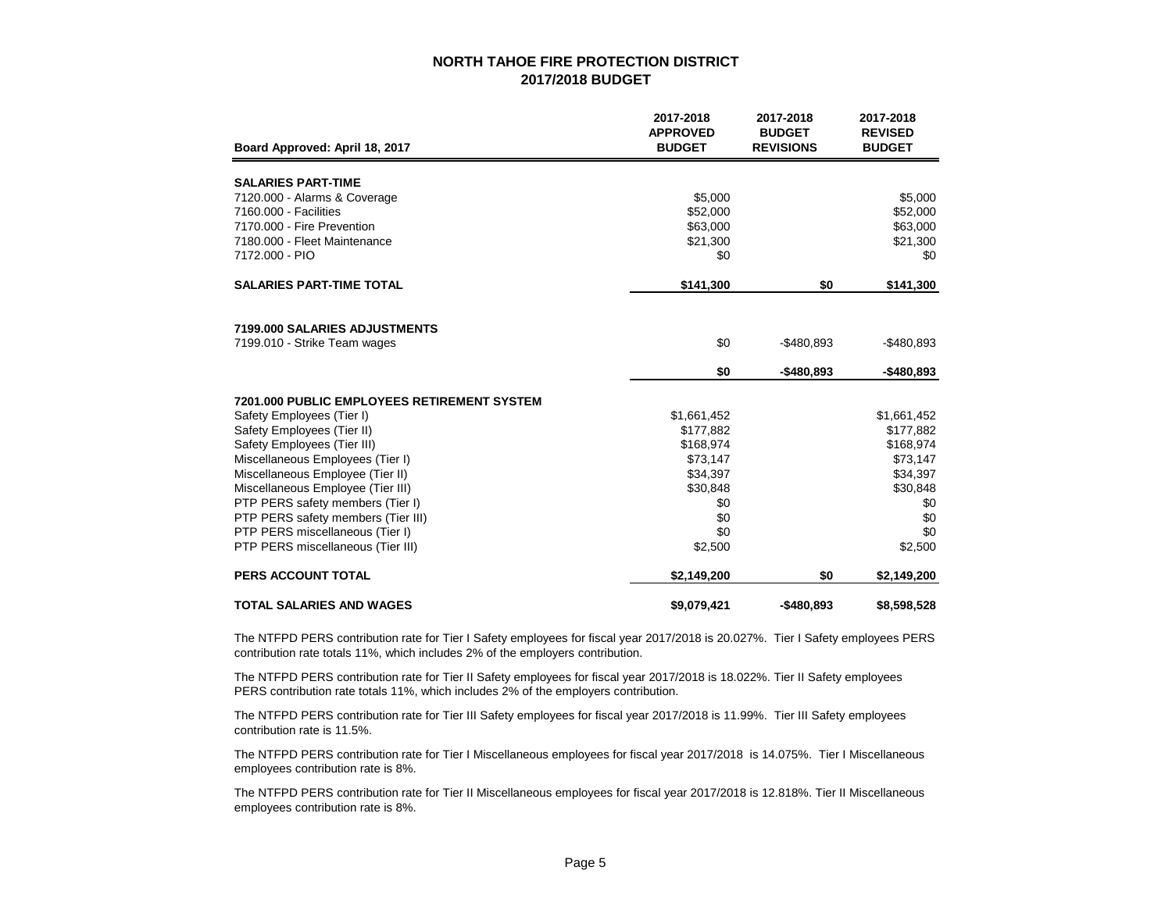|                                                    | 2017-2018<br><b>APPROVED</b> | 2017-2018<br><b>BUDGET</b> | 2017-2018<br><b>REVISED</b> |
|----------------------------------------------------|------------------------------|----------------------------|-----------------------------|
| Board Approved: April 18, 2017                     | <b>BUDGET</b>                | <b>REVISIONS</b>           | <b>BUDGET</b>               |
| <b>SALARIES PART-TIME</b>                          |                              |                            |                             |
| 7120.000 - Alarms & Coverage                       | \$5,000                      |                            | \$5,000                     |
| 7160.000 - Facilities                              | \$52,000                     |                            | \$52,000                    |
| 7170.000 - Fire Prevention                         | \$63,000                     |                            | \$63,000                    |
| 7180.000 - Fleet Maintenance                       | \$21,300                     |                            | \$21,300                    |
| 7172.000 - PIO                                     | \$0                          |                            | \$0                         |
| <b>SALARIES PART-TIME TOTAL</b>                    | \$141,300                    | \$0                        | \$141,300                   |
|                                                    |                              |                            |                             |
|                                                    |                              |                            |                             |
| 7199.000 SALARIES ADJUSTMENTS                      |                              |                            |                             |
| 7199.010 - Strike Team wages                       | \$0                          | $-$480.893$                | $-$ \$480,893               |
|                                                    | \$0                          | $-$480,893$                | $-$ \$480,893               |
| <b>7201.000 PUBLIC EMPLOYEES RETIREMENT SYSTEM</b> |                              |                            |                             |
| Safety Employees (Tier I)                          | \$1,661,452                  |                            | \$1,661,452                 |
| Safety Employees (Tier II)                         | \$177,882                    |                            | \$177,882                   |
| Safety Employees (Tier III)                        | \$168,974                    |                            | \$168,974                   |
| Miscellaneous Employees (Tier I)                   | \$73,147                     |                            | \$73,147                    |
| Miscellaneous Employee (Tier II)                   | \$34,397                     |                            | \$34,397                    |
| Miscellaneous Employee (Tier III)                  | \$30,848                     |                            | \$30,848                    |
| PTP PERS safety members (Tier I)                   | \$0                          |                            | \$0                         |
| PTP PERS safety members (Tier III)                 | \$0                          |                            | \$0                         |
| PTP PERS miscellaneous (Tier I)                    | \$0                          |                            | \$0                         |
| PTP PERS miscellaneous (Tier III)                  | \$2,500                      |                            | \$2,500                     |
| <b>PERS ACCOUNT TOTAL</b>                          | \$2,149,200                  | \$0                        | \$2,149,200                 |
| <b>TOTAL SALARIES AND WAGES</b>                    | \$9,079,421                  | $-$480.893$                | \$8,598,528                 |

The NTFPD PERS contribution rate for Tier I Safety employees for fiscal year 2017/2018 is 20.027%. Tier I Safety employees PERS contribution rate totals 11%, which includes 2% of the employers contribution.

The NTFPD PERS contribution rate for Tier II Safety employees for fiscal year 2017/2018 is 18.022%. Tier II Safety employees PERS contribution rate totals 11%, which includes 2% of the employers contribution.

The NTFPD PERS contribution rate for Tier III Safety employees for fiscal year 2017/2018 is 11.99%. Tier III Safety employees contribution rate is 11.5%.

The NTFPD PERS contribution rate for Tier I Miscellaneous employees for fiscal year 2017/2018 is 14.075%. Tier I Miscellaneous employees contribution rate is 8%.

The NTFPD PERS contribution rate for Tier II Miscellaneous employees for fiscal year 2017/2018 is 12.818%. Tier II Miscellaneous employees contribution rate is 8%.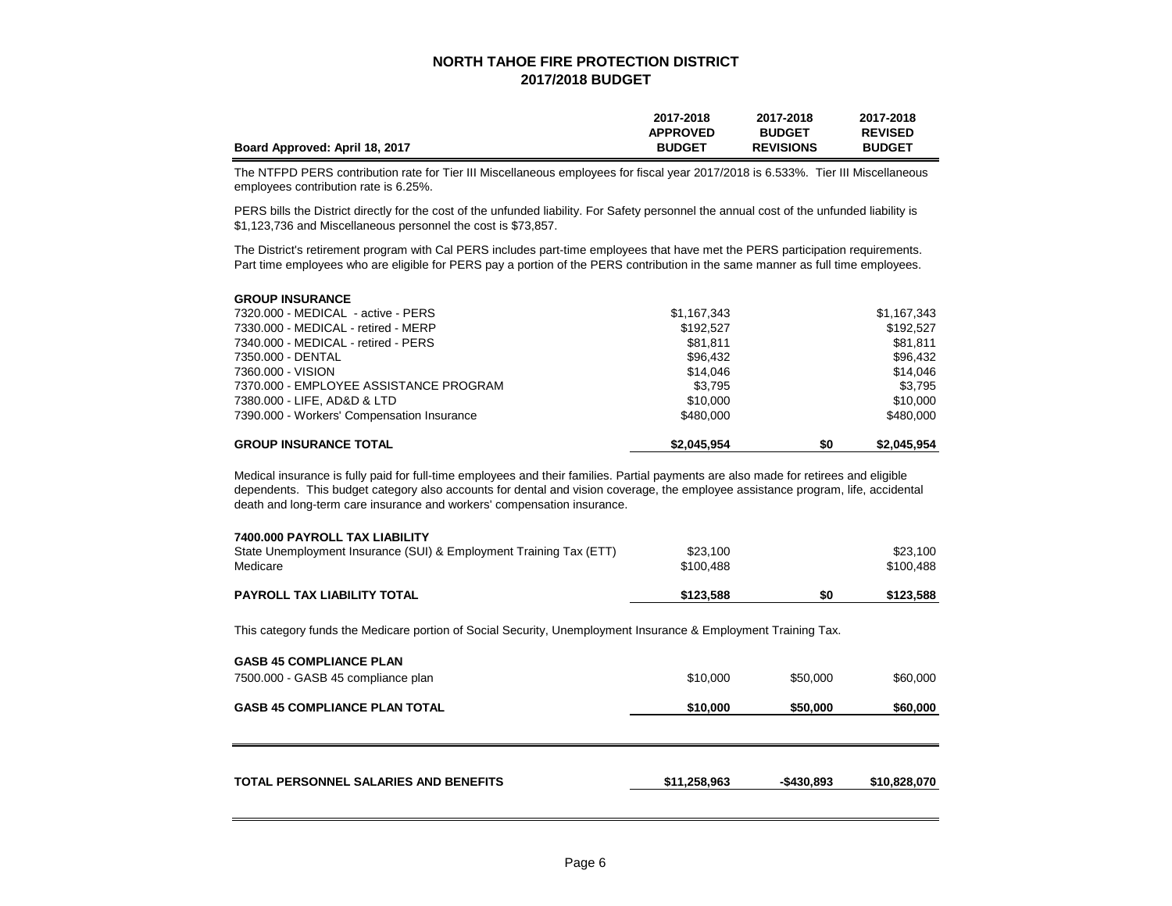|                                | 2017-2018       | 2017-2018        | 2017-2018      |
|--------------------------------|-----------------|------------------|----------------|
|                                | <b>APPROVED</b> | <b>BUDGET</b>    | <b>REVISED</b> |
| Board Approved: April 18, 2017 | <b>BUDGET</b>   | <b>REVISIONS</b> | <b>BUDGET</b>  |

The NTFPD PERS contribution rate for Tier III Miscellaneous employees for fiscal year 2017/2018 is 6.533%. Tier III Miscellaneous employees contribution rate is 6.25%.

PERS bills the District directly for the cost of the unfunded liability. For Safety personnel the annual cost of the unfunded liability is \$1,123,736 and Miscellaneous personnel the cost is \$73,857.

The District's retirement program with Cal PERS includes part-time employees that have met the PERS participation requirements. Part time employees who are eligible for PERS pay a portion of the PERS contribution in the same manner as full time employees.

| <b>GROUP INSURANCE</b>                     |             |     |             |
|--------------------------------------------|-------------|-----|-------------|
| 7320.000 - MEDICAL - active - PERS         | \$1,167,343 |     | \$1,167,343 |
| 7330.000 - MEDICAL - retired - MERP        | \$192.527   |     | \$192.527   |
| 7340.000 - MEDICAL - retired - PERS        | \$81.811    |     | \$81.811    |
| 7350.000 - DENTAL                          | \$96,432    |     | \$96,432    |
| 7360.000 - VISION                          | \$14,046    |     | \$14,046    |
| 7370.000 - EMPLOYEE ASSISTANCE PROGRAM     | \$3.795     |     | \$3.795     |
| 7380.000 - LIFE, AD&D & LTD                | \$10,000    |     | \$10,000    |
| 7390.000 - Workers' Compensation Insurance | \$480,000   |     | \$480,000   |
| <b>GROUP INSURANCE TOTAL</b>               | \$2.045.954 | \$0 | \$2.045.954 |

Medical insurance is fully paid for full-time employees and their families. Partial payments are also made for retirees and eligible dependents. This budget category also accounts for dental and vision coverage, the employee assistance program, life, accidental death and long-term care insurance and workers' compensation insurance.

| <b>PAYROLL TAX LIABILITY TOTAL</b>                                 | \$123,588 | \$0 | \$123,588 |
|--------------------------------------------------------------------|-----------|-----|-----------|
| Medicare                                                           | \$100.488 |     | \$100.488 |
| State Unemployment Insurance (SUI) & Employment Training Tax (ETT) | \$23,100  |     | \$23,100  |
| 7400,000 PAYROLL TAX LIABILITY                                     |           |     |           |

This category funds the Medicare portion of Social Security, Unemployment Insurance & Employment Training Tax.

| <b>GASB 45 COMPLIANCE PLAN TOTAL</b>         | \$10,000     | \$50,000    | \$60,000     |
|----------------------------------------------|--------------|-------------|--------------|
| <b>TOTAL PERSONNEL SALARIES AND BENEFITS</b> | \$11,258,963 | $-$430.893$ | \$10,828,070 |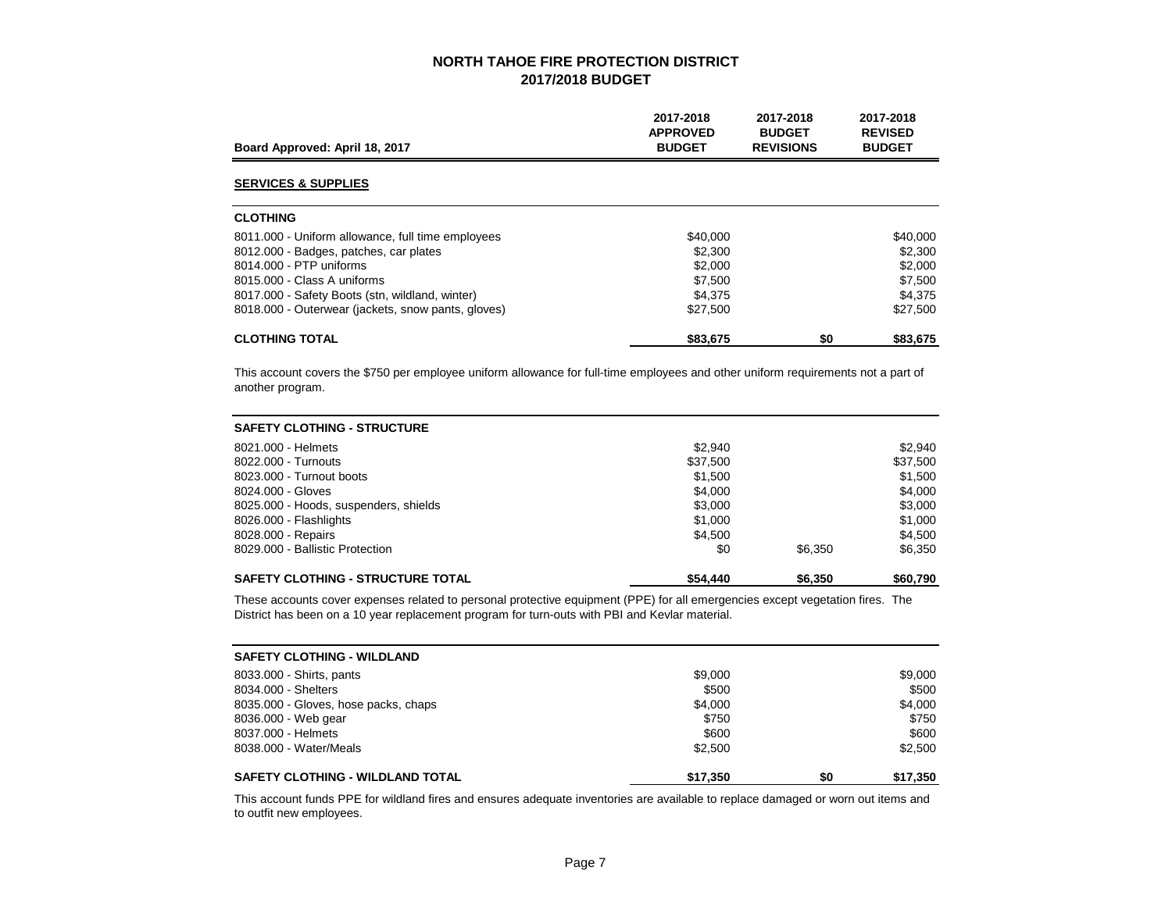| Board Approved: April 18, 2017                     | 2017-2018<br><b>APPROVED</b><br><b>BUDGET</b> | 2017-2018<br><b>BUDGET</b><br><b>REVISIONS</b> | 2017-2018<br><b>REVISED</b><br><b>BUDGET</b> |
|----------------------------------------------------|-----------------------------------------------|------------------------------------------------|----------------------------------------------|
| <b>SERVICES &amp; SUPPLIES</b>                     |                                               |                                                |                                              |
| <b>CLOTHING</b>                                    |                                               |                                                |                                              |
| 8011.000 - Uniform allowance, full time employees  | \$40,000                                      |                                                | \$40,000                                     |
| 8012.000 - Badges, patches, car plates             | \$2,300                                       |                                                | \$2,300                                      |
| 8014.000 - PTP uniforms                            | \$2,000                                       |                                                | \$2,000                                      |
| 8015,000 - Class A uniforms                        | \$7.500                                       |                                                | \$7,500                                      |
| 8017.000 - Safety Boots (stn, wildland, winter)    | \$4.375                                       |                                                | \$4.375                                      |
| 8018.000 - Outerwear (jackets, snow pants, gloves) | \$27,500                                      |                                                | \$27,500                                     |
| <b>CLOTHING TOTAL</b>                              | \$83,675                                      | \$0                                            | \$83,675                                     |

This account covers the \$750 per employee uniform allowance for full-time employees and other uniform requirements not a part of another program.

| <b>SAFETY CLOTHING - STRUCTURE</b>       |          |         |          |
|------------------------------------------|----------|---------|----------|
| 8021,000 - Helmets                       | \$2,940  |         | \$2,940  |
| 8022.000 - Turnouts                      | \$37,500 |         | \$37,500 |
| 8023,000 - Turnout boots                 | \$1,500  |         | \$1,500  |
| 8024.000 - Gloves                        | \$4,000  |         | \$4.000  |
| 8025.000 - Hoods, suspenders, shields    | \$3,000  |         | \$3,000  |
| 8026.000 - Flashlights                   | \$1,000  |         | \$1,000  |
| 8028.000 - Repairs                       | \$4.500  |         | \$4.500  |
| 8029.000 - Ballistic Protection          | \$0      | \$6,350 | \$6,350  |
| <b>SAFETY CLOTHING - STRUCTURE TOTAL</b> | \$54,440 | \$6,350 | \$60,790 |

These accounts cover expenses related to personal protective equipment (PPE) for all emergencies except vegetation fires. The District has been on a 10 year replacement program for turn-outs with PBI and Kevlar material.

| <b>SAFETY CLOTHING - WILDLAND</b>       |          |     |          |
|-----------------------------------------|----------|-----|----------|
| 8033.000 - Shirts, pants                | \$9,000  |     | \$9,000  |
| 8034.000 - Shelters                     | \$500    |     | \$500    |
| 8035.000 - Gloves, hose packs, chaps    | \$4.000  |     | \$4.000  |
| 8036.000 - Web gear                     | \$750    |     | \$750    |
| 8037,000 - Helmets                      | \$600    |     | \$600    |
| 8038.000 - Water/Meals                  | \$2,500  |     | \$2.500  |
| <b>SAFETY CLOTHING - WILDLAND TOTAL</b> | \$17.350 | \$0 | \$17,350 |

This account funds PPE for wildland fires and ensures adequate inventories are available to replace damaged or worn out items and to outfit new employees.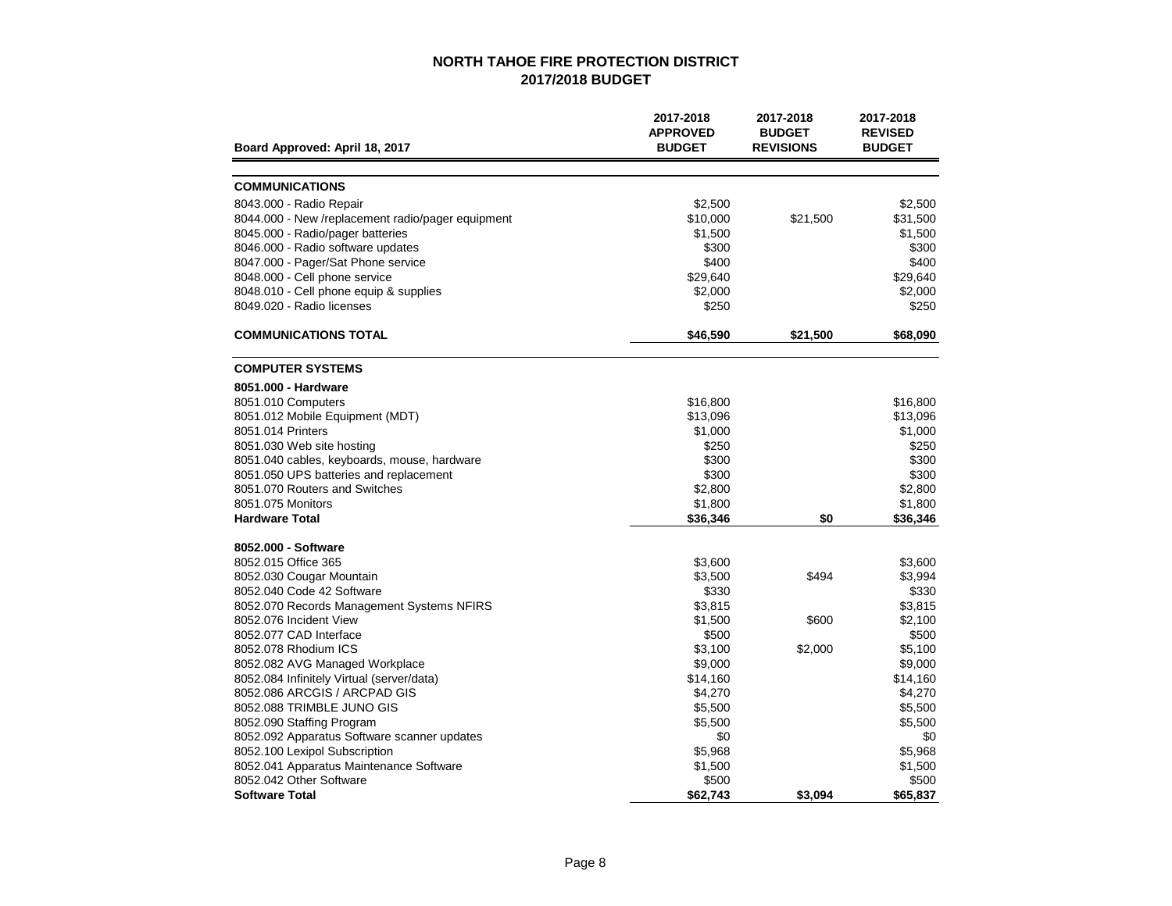| Board Approved: April 18, 2017                    | 2017-2018<br><b>APPROVED</b><br><b>BUDGET</b> | 2017-2018<br><b>BUDGET</b><br><b>REVISIONS</b> | 2017-2018<br><b>REVISED</b><br><b>BUDGET</b> |
|---------------------------------------------------|-----------------------------------------------|------------------------------------------------|----------------------------------------------|
|                                                   |                                               |                                                |                                              |
| <b>COMMUNICATIONS</b>                             |                                               |                                                |                                              |
| 8043.000 - Radio Repair                           | \$2,500                                       |                                                | \$2.500                                      |
| 8044.000 - New /replacement radio/pager equipment | \$10,000                                      | \$21,500                                       | \$31,500                                     |
| 8045.000 - Radio/pager batteries                  | \$1,500                                       |                                                | \$1,500                                      |
| 8046.000 - Radio software updates                 | \$300                                         |                                                | \$300                                        |
| 8047.000 - Pager/Sat Phone service                | \$400                                         |                                                | \$400                                        |
| 8048.000 - Cell phone service                     | \$29,640                                      |                                                | \$29,640                                     |
| 8048.010 - Cell phone equip & supplies            | \$2,000                                       |                                                | \$2,000                                      |
| 8049.020 - Radio licenses                         | \$250                                         |                                                | \$250                                        |
| <b>COMMUNICATIONS TOTAL</b>                       | \$46,590                                      | \$21,500                                       | \$68,090                                     |
| <b>COMPUTER SYSTEMS</b>                           |                                               |                                                |                                              |
| 8051.000 - Hardware                               |                                               |                                                |                                              |
| 8051.010 Computers                                | \$16,800                                      |                                                | \$16,800                                     |
| 8051.012 Mobile Equipment (MDT)                   | \$13,096                                      |                                                | \$13,096                                     |
| 8051.014 Printers                                 | \$1,000                                       |                                                | \$1,000                                      |
| 8051.030 Web site hosting                         | \$250                                         |                                                | \$250                                        |
| 8051.040 cables, keyboards, mouse, hardware       | \$300                                         |                                                | \$300                                        |
| 8051.050 UPS batteries and replacement            | \$300                                         |                                                | \$300                                        |
| 8051.070 Routers and Switches                     | \$2,800                                       |                                                | \$2,800                                      |
| 8051.075 Monitors                                 | \$1,800                                       |                                                | \$1,800                                      |
| <b>Hardware Total</b>                             | \$36,346                                      | \$0                                            | \$36,346                                     |
| 8052.000 - Software                               |                                               |                                                |                                              |
| 8052.015 Office 365                               | \$3,600                                       |                                                | \$3,600                                      |
| 8052.030 Cougar Mountain                          | \$3,500                                       | \$494                                          | \$3,994                                      |
| 8052.040 Code 42 Software                         | \$330                                         |                                                | \$330                                        |
| 8052.070 Records Management Systems NFIRS         | \$3,815                                       |                                                | \$3,815                                      |
| 8052.076 Incident View                            | \$1,500                                       | \$600                                          | \$2,100                                      |
| 8052.077 CAD Interface                            | \$500                                         |                                                | \$500                                        |
| 8052.078 Rhodium ICS                              | \$3,100                                       | \$2,000                                        | \$5,100                                      |
| 8052.082 AVG Managed Workplace                    | \$9,000                                       |                                                | \$9,000                                      |
| 8052.084 Infinitely Virtual (server/data)         | \$14,160                                      |                                                | \$14,160                                     |
| 8052.086 ARCGIS / ARCPAD GIS                      | \$4,270                                       |                                                | \$4,270                                      |
| 8052.088 TRIMBLE JUNO GIS                         | \$5,500                                       |                                                | \$5,500                                      |
| 8052.090 Staffing Program                         | \$5,500                                       |                                                | \$5,500                                      |
| 8052.092 Apparatus Software scanner updates       | \$0                                           |                                                | \$0                                          |
| 8052.100 Lexipol Subscription                     | \$5,968                                       |                                                | \$5,968                                      |
| 8052.041 Apparatus Maintenance Software           | \$1,500                                       |                                                | \$1,500                                      |
| 8052.042 Other Software<br><b>Software Total</b>  | \$500<br>\$62,743                             | \$3.094                                        | \$500<br>\$65,837                            |
|                                                   |                                               |                                                |                                              |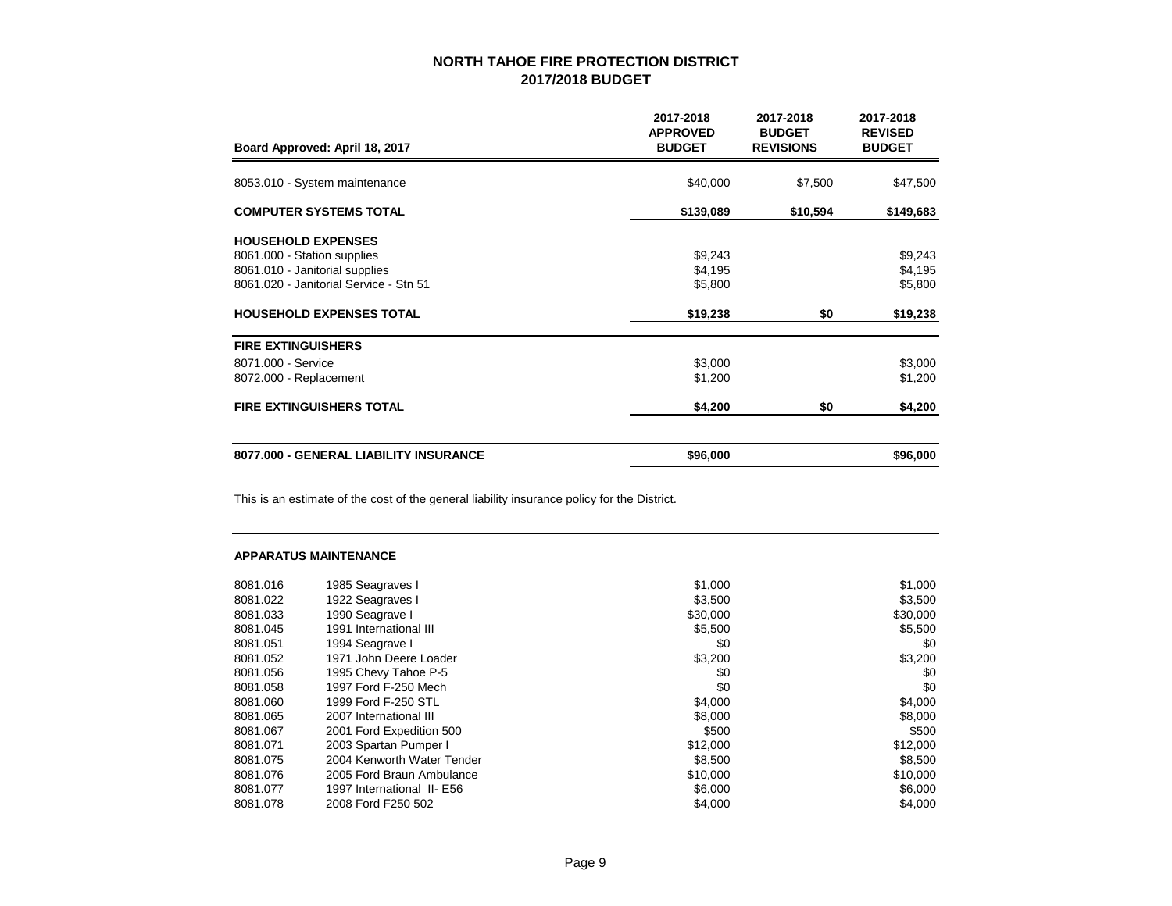| Board Approved: April 18, 2017         | 2017-2018<br><b>APPROVED</b><br><b>BUDGET</b> | 2017-2018<br><b>BUDGET</b><br><b>REVISIONS</b> | 2017-2018<br><b>REVISED</b><br><b>BUDGET</b> |
|----------------------------------------|-----------------------------------------------|------------------------------------------------|----------------------------------------------|
| 8053.010 - System maintenance          | \$40,000                                      | \$7,500                                        | \$47,500                                     |
|                                        |                                               |                                                |                                              |
| <b>COMPUTER SYSTEMS TOTAL</b>          | \$139,089                                     | \$10,594                                       | \$149,683                                    |
| <b>HOUSEHOLD EXPENSES</b>              |                                               |                                                |                                              |
| 8061.000 - Station supplies            | \$9,243                                       |                                                | \$9,243                                      |
| 8061.010 - Janitorial supplies         | \$4,195                                       |                                                | \$4,195                                      |
| 8061.020 - Janitorial Service - Stn 51 | \$5,800                                       |                                                | \$5,800                                      |
| <b>HOUSEHOLD EXPENSES TOTAL</b>        | \$19,238                                      | \$0                                            | \$19,238                                     |
| <b>FIRE EXTINGUISHERS</b>              |                                               |                                                |                                              |
| 8071.000 - Service                     | \$3,000                                       |                                                | \$3,000                                      |
| 8072.000 - Replacement                 | \$1,200                                       |                                                | \$1,200                                      |
| <b>FIRE EXTINGUISHERS TOTAL</b>        | \$4,200                                       | \$0                                            | \$4,200                                      |
| 8077.000 - GENERAL LIABILITY INSURANCE | \$96,000                                      |                                                | \$96,000                                     |

This is an estimate of the cost of the general liability insurance policy for the District.

### **APPARATUS MAINTENANCE**

| 8081.016 | 1985 Seagraves I           | \$1,000  | \$1,000  |
|----------|----------------------------|----------|----------|
| 8081.022 | 1922 Seagraves I           | \$3,500  | \$3,500  |
| 8081.033 | 1990 Seagrave I            | \$30,000 | \$30,000 |
| 8081.045 | 1991 International III     | \$5,500  | \$5,500  |
| 8081.051 | 1994 Seagrave I            | \$0      | \$0      |
| 8081.052 | 1971 John Deere Loader     | \$3,200  | \$3,200  |
| 8081.056 | 1995 Chevy Tahoe P-5       | \$0      | \$0      |
| 8081.058 | 1997 Ford F-250 Mech       | \$0      | \$0      |
| 8081.060 | 1999 Ford F-250 STL        | \$4,000  | \$4,000  |
| 8081.065 | 2007 International III     | \$8,000  | \$8,000  |
| 8081.067 | 2001 Ford Expedition 500   | \$500    | \$500    |
| 8081.071 | 2003 Spartan Pumper I      | \$12,000 | \$12,000 |
| 8081.075 | 2004 Kenworth Water Tender | \$8,500  | \$8,500  |
| 8081.076 | 2005 Ford Braun Ambulance  | \$10,000 | \$10,000 |
| 8081.077 | 1997 International II- E56 | \$6,000  | \$6,000  |
| 8081.078 | 2008 Ford F250 502         | \$4,000  | \$4,000  |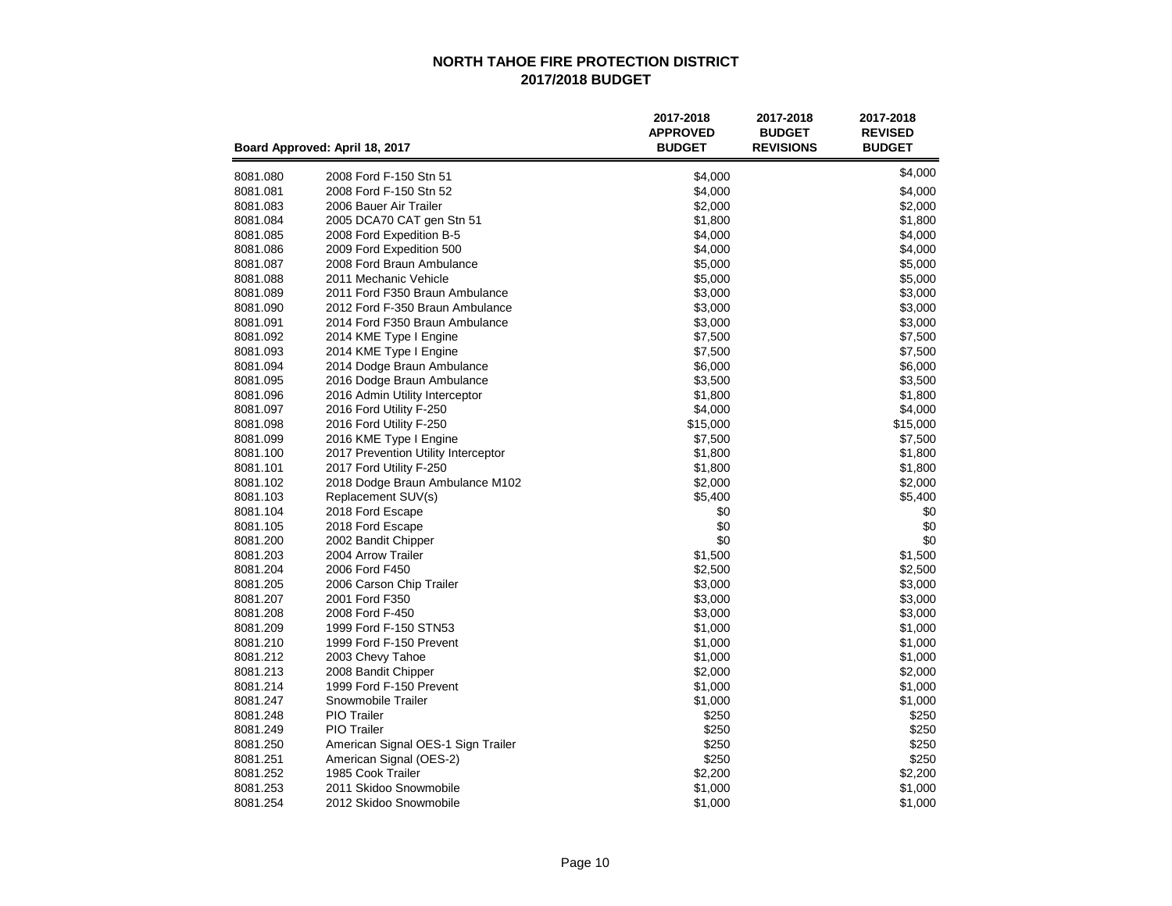|                      | Board Approved: April 18, 2017         | 2017-2018<br><b>APPROVED</b><br><b>BUDGET</b> | 2017-2018<br><b>BUDGET</b><br><b>REVISIONS</b> | 2017-2018<br><b>REVISED</b><br><b>BUDGET</b> |
|----------------------|----------------------------------------|-----------------------------------------------|------------------------------------------------|----------------------------------------------|
| 8081.080             | 2008 Ford F-150 Stn 51                 | \$4,000                                       |                                                | \$4,000                                      |
| 8081.081             | 2008 Ford F-150 Stn 52                 | \$4,000                                       |                                                | \$4,000                                      |
| 8081.083             | 2006 Bauer Air Trailer                 | \$2,000                                       |                                                | \$2,000                                      |
| 8081.084             | 2005 DCA70 CAT gen Stn 51              | \$1,800                                       |                                                | \$1,800                                      |
| 8081.085             | 2008 Ford Expedition B-5               | \$4,000                                       |                                                | \$4,000                                      |
| 8081.086             | 2009 Ford Expedition 500               | \$4,000                                       |                                                | \$4,000                                      |
| 8081.087             | 2008 Ford Braun Ambulance              | \$5,000                                       |                                                | \$5,000                                      |
| 8081.088             | 2011 Mechanic Vehicle                  | \$5,000                                       |                                                | \$5,000                                      |
| 8081.089             | 2011 Ford F350 Braun Ambulance         | \$3,000                                       |                                                | \$3,000                                      |
| 8081.090             | 2012 Ford F-350 Braun Ambulance        | \$3,000                                       |                                                | \$3,000                                      |
| 8081.091             | 2014 Ford F350 Braun Ambulance         | \$3,000                                       |                                                | \$3,000                                      |
| 8081.092             | 2014 KME Type I Engine                 | \$7,500                                       |                                                | \$7,500                                      |
| 8081.093             | 2014 KME Type I Engine                 | \$7,500                                       |                                                | \$7,500                                      |
| 8081.094             | 2014 Dodge Braun Ambulance             | \$6,000                                       |                                                | \$6,000                                      |
| 8081.095             | 2016 Dodge Braun Ambulance             | \$3,500                                       |                                                | \$3,500                                      |
| 8081.096             | 2016 Admin Utility Interceptor         | \$1,800                                       |                                                | \$1,800                                      |
| 8081.097             | 2016 Ford Utility F-250                | \$4,000                                       |                                                | \$4,000                                      |
| 8081.098             | 2016 Ford Utility F-250                | \$15,000                                      |                                                | \$15,000                                     |
| 8081.099             | 2016 KME Type I Engine                 | \$7,500                                       |                                                | \$7,500                                      |
| 8081.100             | 2017 Prevention Utility Interceptor    | \$1,800                                       |                                                | \$1,800                                      |
| 8081.101             | 2017 Ford Utility F-250                | \$1,800                                       |                                                | \$1,800<br>\$2,000                           |
| 8081.102<br>8081.103 | 2018 Dodge Braun Ambulance M102        | \$2,000                                       |                                                | \$5,400                                      |
| 8081.104             | Replacement SUV(s)<br>2018 Ford Escape | \$5,400<br>\$0                                |                                                | \$0                                          |
| 8081.105             | 2018 Ford Escape                       | \$0                                           |                                                | \$0                                          |
| 8081.200             | 2002 Bandit Chipper                    | \$0                                           |                                                | \$0                                          |
| 8081.203             | 2004 Arrow Trailer                     | \$1,500                                       |                                                | \$1,500                                      |
| 8081.204             | 2006 Ford F450                         | \$2,500                                       |                                                | \$2,500                                      |
| 8081.205             | 2006 Carson Chip Trailer               | \$3,000                                       |                                                | \$3,000                                      |
| 8081.207             | 2001 Ford F350                         | \$3,000                                       |                                                | \$3,000                                      |
| 8081.208             | 2008 Ford F-450                        | \$3,000                                       |                                                | \$3,000                                      |
| 8081.209             | 1999 Ford F-150 STN53                  | \$1,000                                       |                                                | \$1,000                                      |
| 8081.210             | 1999 Ford F-150 Prevent                | \$1,000                                       |                                                | \$1,000                                      |
| 8081.212             | 2003 Chevy Tahoe                       | \$1,000                                       |                                                | \$1,000                                      |
| 8081.213             | 2008 Bandit Chipper                    | \$2,000                                       |                                                | \$2,000                                      |
| 8081.214             | 1999 Ford F-150 Prevent                | \$1,000                                       |                                                | \$1,000                                      |
| 8081.247             | Snowmobile Trailer                     | \$1,000                                       |                                                | \$1,000                                      |
| 8081.248             | <b>PIO</b> Trailer                     | \$250                                         |                                                | \$250                                        |
| 8081.249             | <b>PIO</b> Trailer                     | \$250                                         |                                                | \$250                                        |
| 8081.250             | American Signal OES-1 Sign Trailer     | \$250                                         |                                                | \$250                                        |
| 8081.251             | American Signal (OES-2)                | \$250                                         |                                                | \$250                                        |
| 8081.252             | 1985 Cook Trailer                      | \$2,200                                       |                                                | \$2,200                                      |
| 8081.253             | 2011 Skidoo Snowmobile                 | \$1,000                                       |                                                | \$1,000                                      |
| 8081.254             | 2012 Skidoo Snowmobile                 | \$1,000                                       |                                                | \$1,000                                      |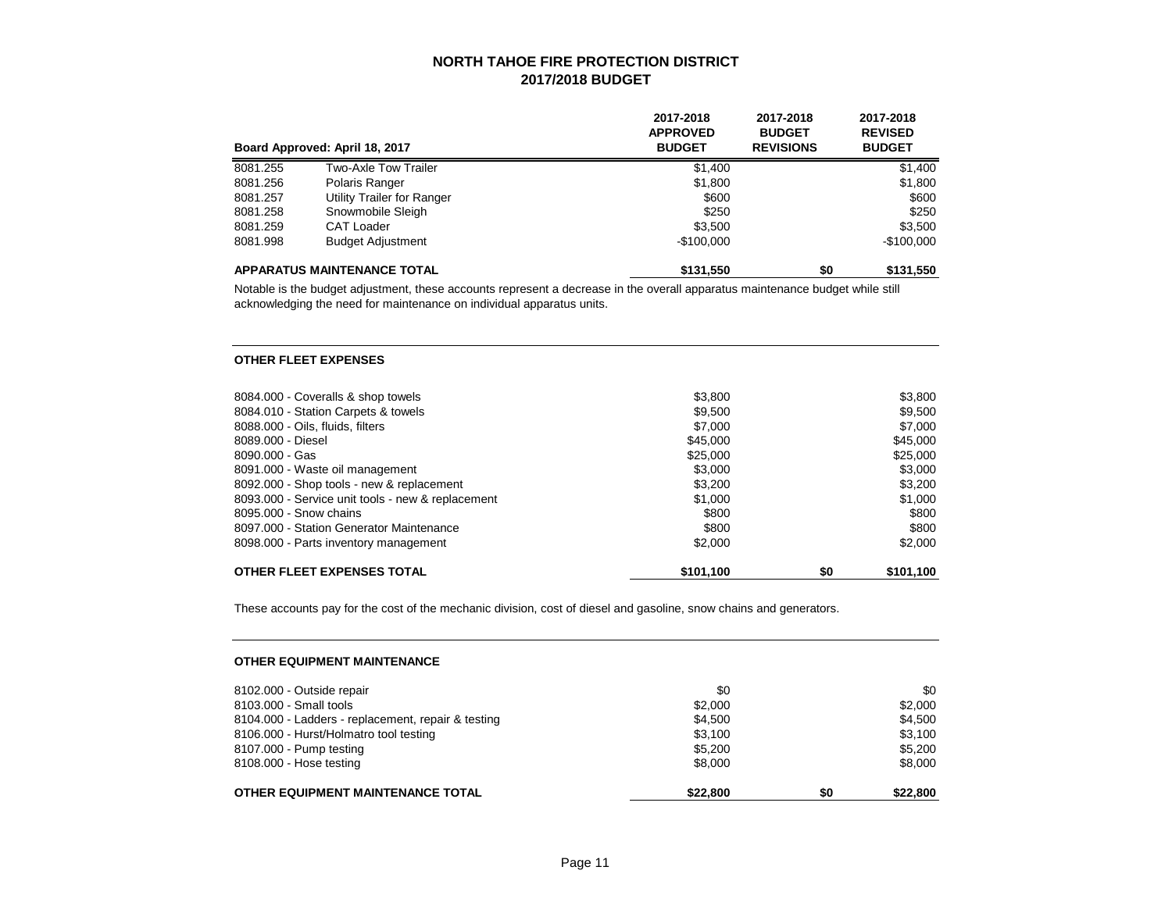|          | Board Approved: April 18, 2017     | 2017-2018<br><b>APPROVED</b><br><b>BUDGET</b> | 2017-2018<br><b>BUDGET</b><br><b>REVISIONS</b> | 2017-2018<br><b>REVISED</b><br><b>BUDGET</b> |
|----------|------------------------------------|-----------------------------------------------|------------------------------------------------|----------------------------------------------|
| 8081.255 | Two-Axle Tow Trailer               | \$1,400                                       |                                                | \$1,400                                      |
| 8081.256 | Polaris Ranger                     | \$1,800                                       |                                                | \$1,800                                      |
| 8081.257 | Utility Trailer for Ranger         | \$600                                         |                                                | \$600                                        |
| 8081.258 | Snowmobile Sleigh                  | \$250                                         |                                                | \$250                                        |
| 8081.259 | CAT Loader                         | \$3,500                                       |                                                | \$3,500                                      |
| 8081.998 | <b>Budget Adjustment</b>           | $-$100.000$                                   |                                                | $-$100,000$                                  |
|          | <b>APPARATUS MAINTENANCE TOTAL</b> | \$131,550                                     | \$0                                            | \$131,550                                    |

Notable is the budget adjustment, these accounts represent a decrease in the overall apparatus maintenance budget while still acknowledging the need for maintenance on individual apparatus units.

#### **OTHER FLEET EXPENSES**

| 8084.000 - Coveralls & shop towels                | \$3,800   |     | \$3,800   |
|---------------------------------------------------|-----------|-----|-----------|
| 8084.010 - Station Carpets & towels               | \$9,500   |     | \$9,500   |
| 8088.000 - Oils, fluids, filters                  | \$7,000   |     | \$7,000   |
| 8089.000 - Diesel                                 | \$45,000  |     | \$45,000  |
| 8090,000 - Gas                                    | \$25,000  |     | \$25,000  |
| 8091.000 - Waste oil management                   | \$3,000   |     | \$3,000   |
| 8092.000 - Shop tools - new & replacement         | \$3.200   |     | \$3,200   |
| 8093.000 - Service unit tools - new & replacement | \$1,000   |     | \$1,000   |
| 8095,000 - Snow chains                            | \$800     |     | \$800     |
| 8097.000 - Station Generator Maintenance          | \$800     |     | \$800     |
| 8098.000 - Parts inventory management             | \$2,000   |     | \$2,000   |
| OTHER FLEET EXPENSES TOTAL                        | \$101,100 | \$0 | \$101,100 |

These accounts pay for the cost of the mechanic division, cost of diesel and gasoline, snow chains and generators.

#### **OTHER EQUIPMENT MAINTENANCE**

| \$8,000 | \$8,000 |
|---------|---------|
|         |         |
|         | \$5.200 |
| \$3.100 | \$3.100 |
| \$4.500 | \$4.500 |
| \$2,000 | \$2,000 |
| \$0     | \$0     |
|         | \$5,200 |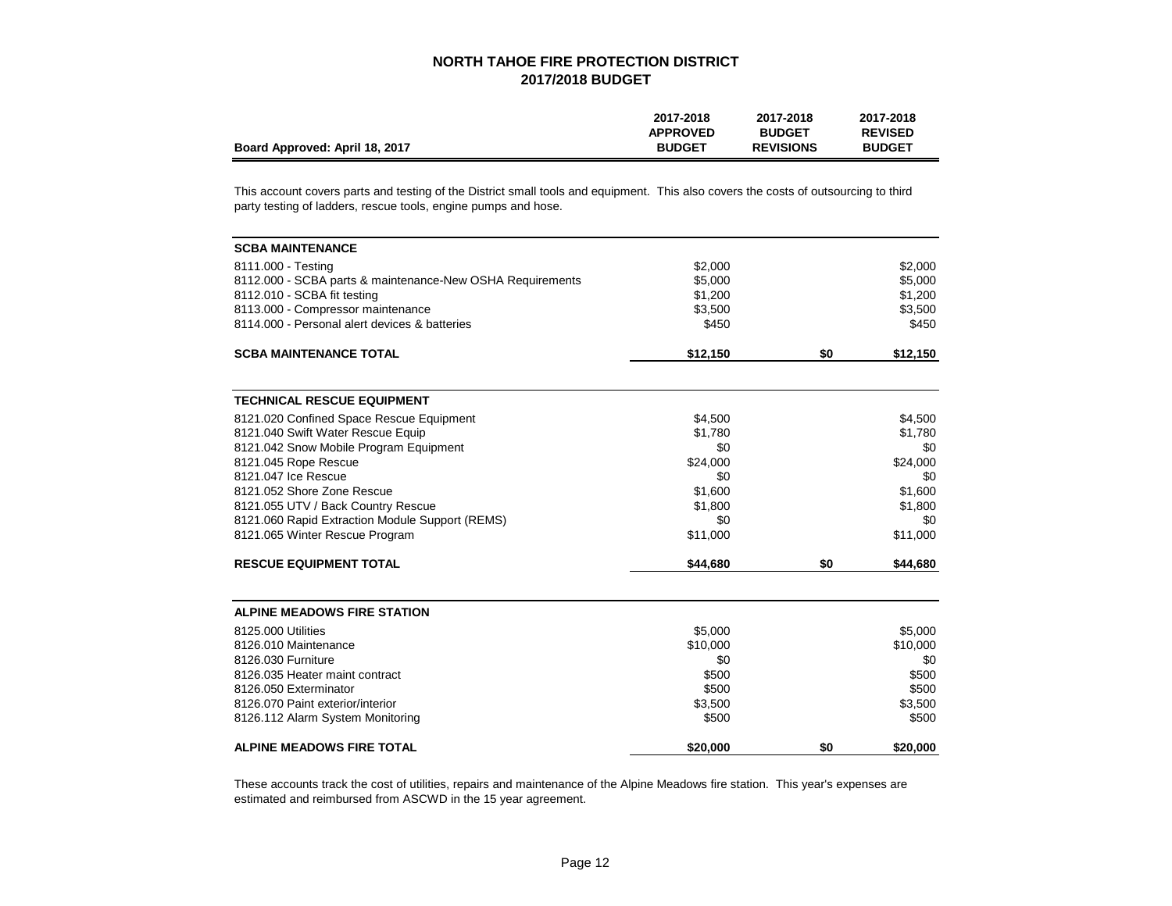|                                | 2017-2018       | 2017-2018        | 2017-2018      |
|--------------------------------|-----------------|------------------|----------------|
|                                | <b>APPROVED</b> | <b>BUDGET</b>    | <b>REVISED</b> |
| Board Approved: April 18, 2017 | <b>BUDGET</b>   | <b>REVISIONS</b> | <b>BUDGET</b>  |

This account covers parts and testing of the District small tools and equipment. This also covers the costs of outsourcing to third party testing of ladders, rescue tools, engine pumps and hose.

| <b>SCBA MAINTENANCE</b>                                   |          |     |          |
|-----------------------------------------------------------|----------|-----|----------|
| 8111.000 - Testing                                        | \$2,000  |     | \$2,000  |
| 8112.000 - SCBA parts & maintenance-New OSHA Requirements | \$5,000  |     | \$5,000  |
| 8112.010 - SCBA fit testing                               | \$1,200  |     | \$1,200  |
| 8113.000 - Compressor maintenance                         | \$3,500  |     | \$3,500  |
| 8114.000 - Personal alert devices & batteries             | \$450    |     | \$450    |
| <b>SCBA MAINTENANCE TOTAL</b>                             | \$12,150 | \$0 | \$12,150 |
| <b>TECHNICAL RESCUE EQUIPMENT</b>                         |          |     |          |
| 8121.020 Confined Space Rescue Equipment                  | \$4,500  |     | \$4,500  |
| 8121.040 Swift Water Rescue Equip                         | \$1,780  |     | \$1,780  |
| 8121.042 Snow Mobile Program Equipment                    | \$0      |     | \$0      |
| 8121.045 Rope Rescue                                      | \$24,000 |     | \$24,000 |
| 8121.047 Ice Rescue                                       | \$0      |     | \$0      |
| 8121.052 Shore Zone Rescue                                | \$1,600  |     | \$1,600  |
| 8121.055 UTV / Back Country Rescue                        | \$1,800  |     | \$1,800  |
| 8121.060 Rapid Extraction Module Support (REMS)           | \$0      |     | \$0      |
| 8121.065 Winter Rescue Program                            | \$11,000 |     | \$11,000 |
| <b>RESCUE EQUIPMENT TOTAL</b>                             | \$44,680 | \$0 | \$44,680 |
| <b>ALPINE MEADOWS FIRE STATION</b>                        |          |     |          |
| 8125,000 Utilities                                        | \$5,000  |     | \$5,000  |
| 8126.010 Maintenance                                      | \$10,000 |     | \$10,000 |
| 8126.030 Furniture                                        | \$0      |     | \$0      |
| 8126.035 Heater maint contract                            | \$500    |     | \$500    |
| 8126.050 Exterminator                                     | \$500    |     | \$500    |
| 8126.070 Paint exterior/interior                          | \$3,500  |     | \$3,500  |
| 8126.112 Alarm System Monitoring                          | \$500    |     | \$500    |
| <b>ALPINE MEADOWS FIRE TOTAL</b>                          | \$20,000 | \$0 | \$20,000 |

These accounts track the cost of utilities, repairs and maintenance of the Alpine Meadows fire station. This year's expenses are estimated and reimbursed from ASCWD in the 15 year agreement.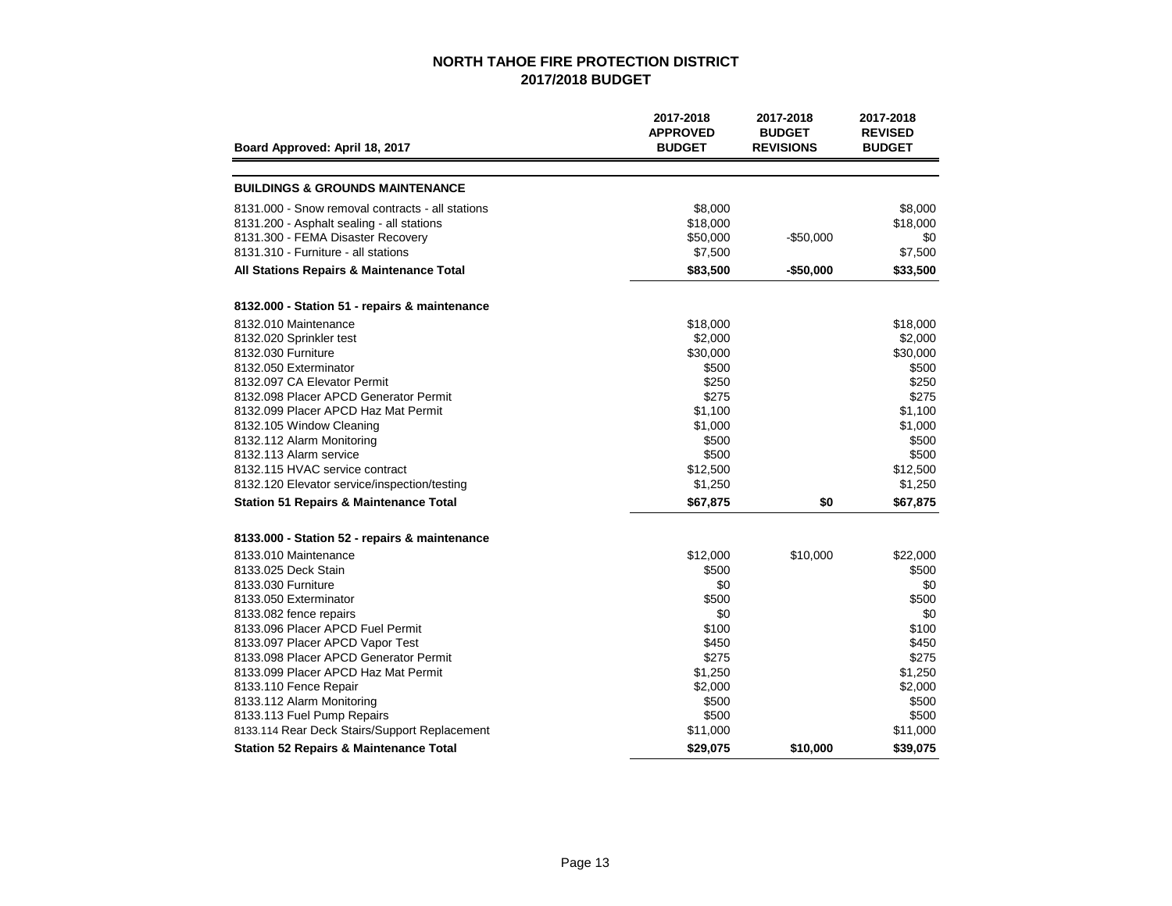| Board Approved: April 18, 2017                    | 2017-2018<br><b>APPROVED</b><br><b>BUDGET</b> | 2017-2018<br><b>BUDGET</b><br><b>REVISIONS</b> | 2017-2018<br><b>REVISED</b><br><b>BUDGET</b> |
|---------------------------------------------------|-----------------------------------------------|------------------------------------------------|----------------------------------------------|
|                                                   |                                               |                                                |                                              |
| <b>BUILDINGS &amp; GROUNDS MAINTENANCE</b>        |                                               |                                                |                                              |
| 8131,000 - Snow removal contracts - all stations  | \$8,000                                       |                                                | \$8,000                                      |
| 8131.200 - Asphalt sealing - all stations         | \$18,000                                      |                                                | \$18,000                                     |
| 8131.300 - FEMA Disaster Recovery                 | \$50,000                                      | $-$50,000$                                     | \$0                                          |
| 8131.310 - Furniture - all stations               | \$7,500                                       |                                                | \$7,500                                      |
| All Stations Repairs & Maintenance Total          | \$83,500                                      | -\$50,000                                      | \$33,500                                     |
| 8132.000 - Station 51 - repairs & maintenance     |                                               |                                                |                                              |
| 8132.010 Maintenance                              | \$18,000                                      |                                                | \$18,000                                     |
| 8132.020 Sprinkler test                           | \$2,000                                       |                                                | \$2,000                                      |
| 8132.030 Furniture                                | \$30,000                                      |                                                | \$30,000                                     |
| 8132.050 Exterminator                             | \$500                                         |                                                | \$500                                        |
| 8132.097 CA Elevator Permit                       | \$250                                         |                                                | \$250                                        |
| 8132.098 Placer APCD Generator Permit             | \$275                                         |                                                | \$275                                        |
| 8132.099 Placer APCD Haz Mat Permit               | \$1,100                                       |                                                | \$1,100                                      |
| 8132.105 Window Cleaning                          | \$1,000                                       |                                                | \$1,000                                      |
| 8132.112 Alarm Monitoring                         | \$500                                         |                                                | \$500                                        |
| 8132.113 Alarm service                            | \$500                                         |                                                | \$500                                        |
| 8132.115 HVAC service contract                    | \$12,500                                      |                                                | \$12,500                                     |
| 8132.120 Elevator service/inspection/testing      | \$1,250                                       |                                                | \$1,250                                      |
| <b>Station 51 Repairs &amp; Maintenance Total</b> | \$67,875                                      | \$0                                            | \$67,875                                     |
| 8133.000 - Station 52 - repairs & maintenance     |                                               |                                                |                                              |
| 8133.010 Maintenance                              | \$12,000                                      | \$10,000                                       | \$22,000                                     |
| 8133.025 Deck Stain                               | \$500                                         |                                                | \$500                                        |
| 8133,030 Furniture                                | \$0                                           |                                                | \$0                                          |
| 8133.050 Exterminator                             | \$500                                         |                                                | \$500                                        |
| 8133.082 fence repairs                            | \$0                                           |                                                | \$0                                          |
| 8133.096 Placer APCD Fuel Permit                  | \$100                                         |                                                | \$100                                        |
| 8133.097 Placer APCD Vapor Test                   | \$450                                         |                                                | \$450                                        |
| 8133.098 Placer APCD Generator Permit             | \$275                                         |                                                | \$275                                        |
| 8133.099 Placer APCD Haz Mat Permit               | \$1,250                                       |                                                | \$1,250                                      |
| 8133.110 Fence Repair                             | \$2,000                                       |                                                | \$2,000                                      |
| 8133.112 Alarm Monitoring                         | \$500                                         |                                                | \$500                                        |
| 8133.113 Fuel Pump Repairs                        | \$500                                         |                                                | \$500                                        |
| 8133.114 Rear Deck Stairs/Support Replacement     | \$11,000                                      |                                                | \$11,000                                     |
| <b>Station 52 Repairs &amp; Maintenance Total</b> | \$29,075                                      | \$10,000                                       | \$39,075                                     |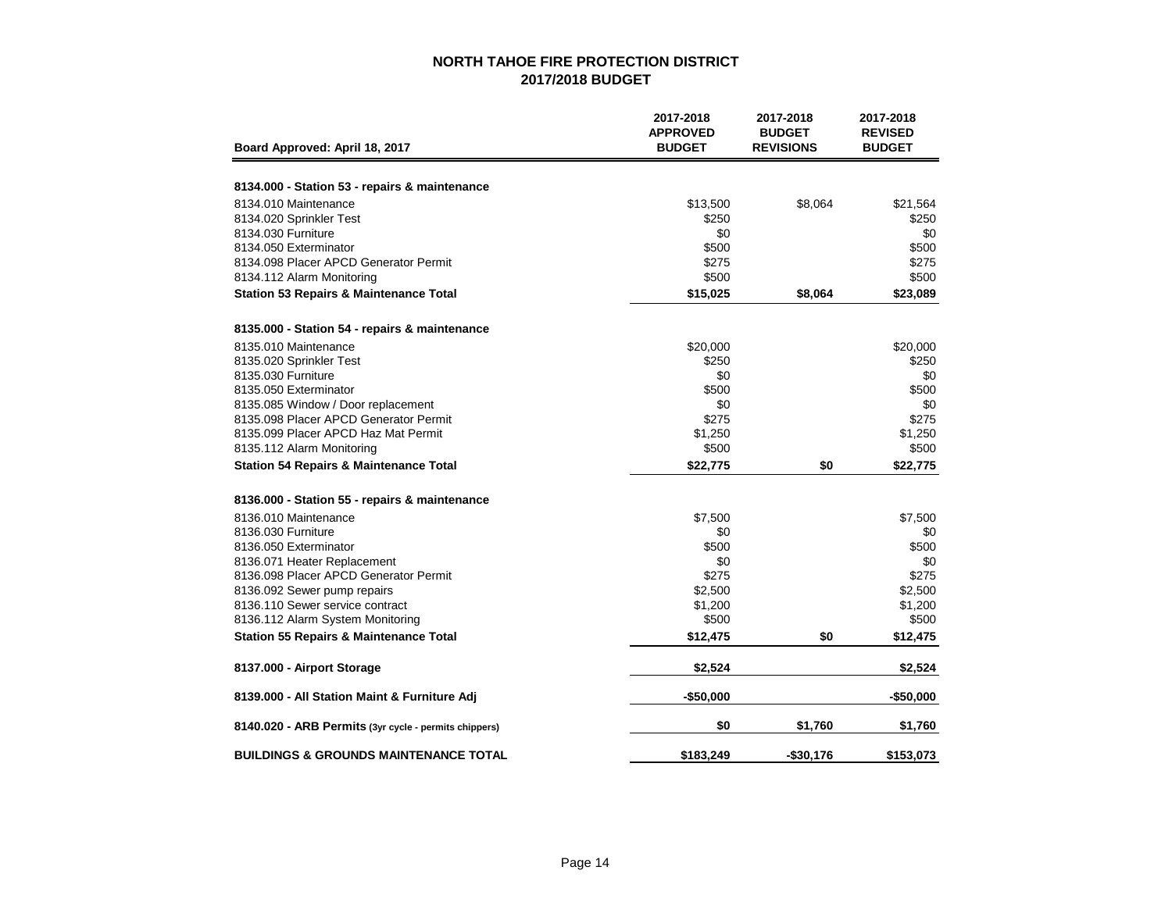| Board Approved: April 18, 2017                        | 2017-2018<br><b>APPROVED</b><br><b>BUDGET</b> | 2017-2018<br><b>BUDGET</b><br><b>REVISIONS</b> | 2017-2018<br><b>REVISED</b><br><b>BUDGET</b> |
|-------------------------------------------------------|-----------------------------------------------|------------------------------------------------|----------------------------------------------|
|                                                       |                                               |                                                |                                              |
| 8134.000 - Station 53 - repairs & maintenance         |                                               |                                                |                                              |
| 8134.010 Maintenance                                  | \$13,500                                      | \$8,064                                        | \$21,564                                     |
| 8134.020 Sprinkler Test                               | \$250                                         |                                                | \$250                                        |
| 8134.030 Furniture                                    | \$0                                           |                                                | \$0                                          |
| 8134.050 Exterminator                                 | \$500                                         |                                                | \$500                                        |
| 8134.098 Placer APCD Generator Permit                 | \$275                                         |                                                | \$275                                        |
| 8134.112 Alarm Monitoring                             | \$500                                         |                                                | \$500                                        |
| <b>Station 53 Repairs &amp; Maintenance Total</b>     | \$15,025                                      | \$8,064                                        | \$23,089                                     |
| 8135.000 - Station 54 - repairs & maintenance         |                                               |                                                |                                              |
| 8135.010 Maintenance                                  | \$20,000                                      |                                                | \$20,000                                     |
| 8135.020 Sprinkler Test                               | \$250                                         |                                                | \$250                                        |
| 8135.030 Furniture                                    | \$0                                           |                                                | \$0                                          |
| 8135.050 Exterminator                                 | \$500                                         |                                                | \$500                                        |
| 8135.085 Window / Door replacement                    | \$0                                           |                                                | \$0                                          |
| 8135.098 Placer APCD Generator Permit                 | \$275                                         |                                                | \$275                                        |
| 8135.099 Placer APCD Haz Mat Permit                   | \$1,250                                       |                                                | \$1,250                                      |
| 8135.112 Alarm Monitoring                             | \$500                                         |                                                | \$500                                        |
| <b>Station 54 Repairs &amp; Maintenance Total</b>     | \$22,775                                      | \$0                                            | \$22,775                                     |
| 8136.000 - Station 55 - repairs & maintenance         |                                               |                                                |                                              |
| 8136.010 Maintenance                                  | \$7,500                                       |                                                | \$7,500                                      |
| 8136.030 Furniture                                    | \$0                                           |                                                | \$0                                          |
| 8136.050 Exterminator                                 | \$500                                         |                                                | \$500                                        |
| 8136.071 Heater Replacement                           | \$0                                           |                                                | \$0                                          |
| 8136.098 Placer APCD Generator Permit                 | \$275                                         |                                                | \$275                                        |
| 8136.092 Sewer pump repairs                           | \$2,500                                       |                                                | \$2,500                                      |
| 8136.110 Sewer service contract                       | \$1,200                                       |                                                | \$1,200                                      |
| 8136.112 Alarm System Monitoring                      | \$500                                         |                                                | \$500                                        |
| <b>Station 55 Repairs &amp; Maintenance Total</b>     | \$12,475                                      | \$0                                            | \$12,475                                     |
| 8137.000 - Airport Storage                            | \$2,524                                       |                                                | \$2,524                                      |
| 8139.000 - All Station Maint & Furniture Adj          | $-$50,000$                                    |                                                | $-$50,000$                                   |
| 8140.020 - ARB Permits (3yr cycle - permits chippers) | \$0                                           | \$1,760                                        | \$1,760                                      |
| <b>BUILDINGS &amp; GROUNDS MAINTENANCE TOTAL</b>      | \$183,249                                     | -\$30,176                                      | \$153,073                                    |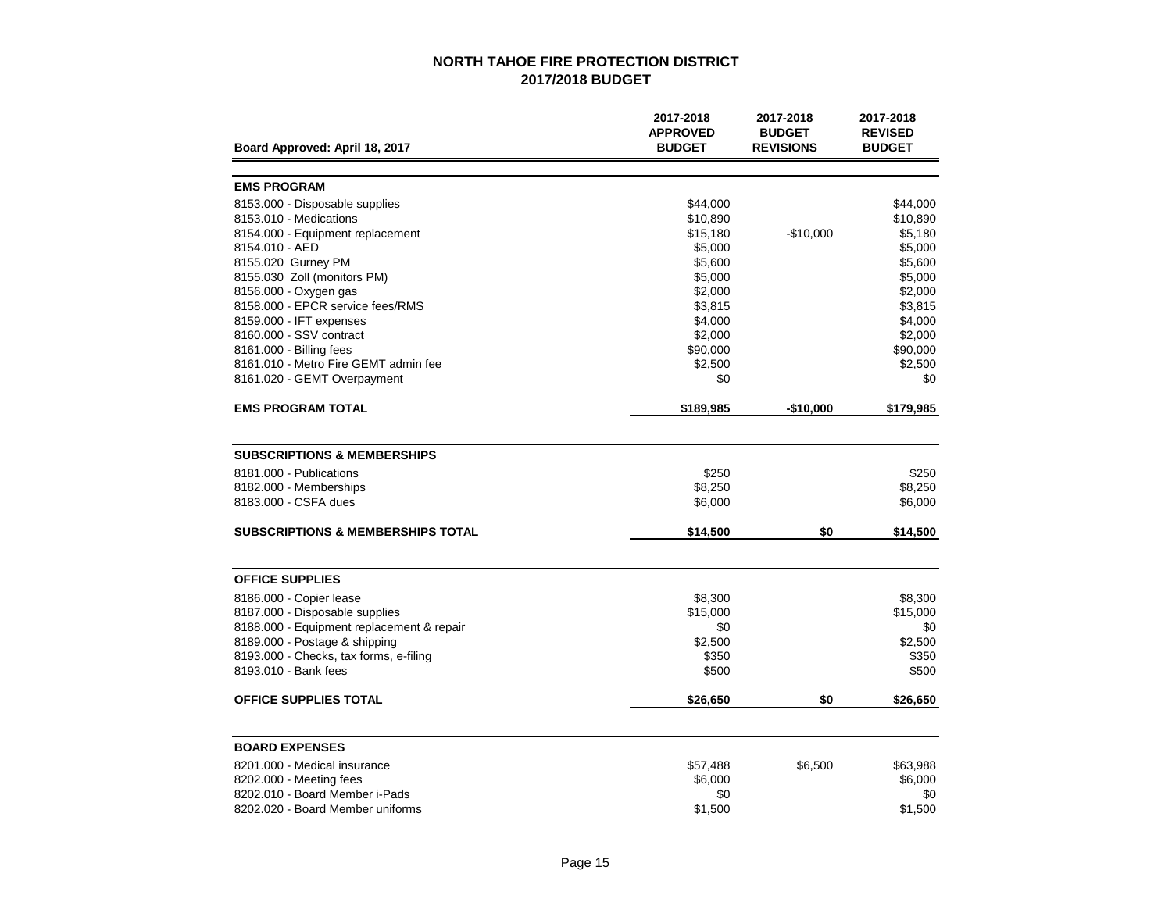|                                              | 2017-2018<br><b>APPROVED</b> | 2017-2018<br><b>BUDGET</b> | 2017-2018<br><b>REVISED</b> |
|----------------------------------------------|------------------------------|----------------------------|-----------------------------|
| Board Approved: April 18, 2017               | <b>BUDGET</b>                | <b>REVISIONS</b>           | <b>BUDGET</b>               |
| <b>EMS PROGRAM</b>                           |                              |                            |                             |
| 8153.000 - Disposable supplies               | \$44,000                     |                            | \$44,000                    |
| 8153.010 - Medications                       | \$10,890                     |                            | \$10,890                    |
| 8154.000 - Equipment replacement             | \$15,180                     | $-$10,000$                 | \$5,180                     |
| 8154.010 - AED                               | \$5,000                      |                            | \$5,000                     |
| 8155.020 Gurney PM                           | \$5,600                      |                            | \$5,600                     |
| 8155.030 Zoll (monitors PM)                  | \$5,000                      |                            | \$5,000                     |
| 8156.000 - Oxygen gas                        | \$2,000                      |                            | \$2,000                     |
| 8158.000 - EPCR service fees/RMS             | \$3,815                      |                            | \$3,815                     |
| 8159.000 - IFT expenses                      | \$4,000                      |                            | \$4,000                     |
| 8160.000 - SSV contract                      | \$2,000                      |                            | \$2,000                     |
| 8161.000 - Billing fees                      | \$90,000                     |                            | \$90,000                    |
| 8161.010 - Metro Fire GEMT admin fee         | \$2,500                      |                            | \$2,500                     |
| 8161.020 - GEMT Overpayment                  | \$0                          |                            | \$0                         |
| <b>EMS PROGRAM TOTAL</b>                     | \$189,985                    | $-$10,000$                 | \$179,985                   |
| <b>SUBSCRIPTIONS &amp; MEMBERSHIPS</b>       |                              |                            |                             |
| 8181.000 - Publications                      | \$250                        |                            | \$250                       |
| 8182.000 - Memberships                       | \$8,250                      |                            | \$8,250                     |
| 8183,000 - CSFA dues                         | \$6,000                      |                            | \$6,000                     |
| <b>SUBSCRIPTIONS &amp; MEMBERSHIPS TOTAL</b> | \$14,500                     | \$0                        | \$14,500                    |
| <b>OFFICE SUPPLIES</b>                       |                              |                            |                             |
| 8186.000 - Copier lease                      | \$8,300                      |                            | \$8,300                     |
| 8187.000 - Disposable supplies               | \$15,000                     |                            | \$15,000                    |
| 8188.000 - Equipment replacement & repair    | \$0                          |                            | \$0                         |
| 8189.000 - Postage & shipping                | \$2,500                      |                            | \$2,500                     |
| 8193.000 - Checks, tax forms, e-filing       | \$350                        |                            | \$350                       |
| 8193.010 - Bank fees                         | \$500                        |                            | \$500                       |
| OFFICE SUPPLIES TOTAL                        | \$26,650                     | \$0                        | \$26,650                    |
|                                              |                              |                            |                             |
| <b>BOARD EXPENSES</b>                        |                              |                            |                             |
| 8201.000 - Medical insurance                 | \$57,488                     | \$6,500                    | \$63,988                    |
| 8202.000 - Meeting fees                      | \$6,000                      |                            | \$6,000                     |
| 8202.010 - Board Member i-Pads               | \$0                          |                            | \$0                         |
| 8202.020 - Board Member uniforms             | \$1,500                      |                            | \$1,500                     |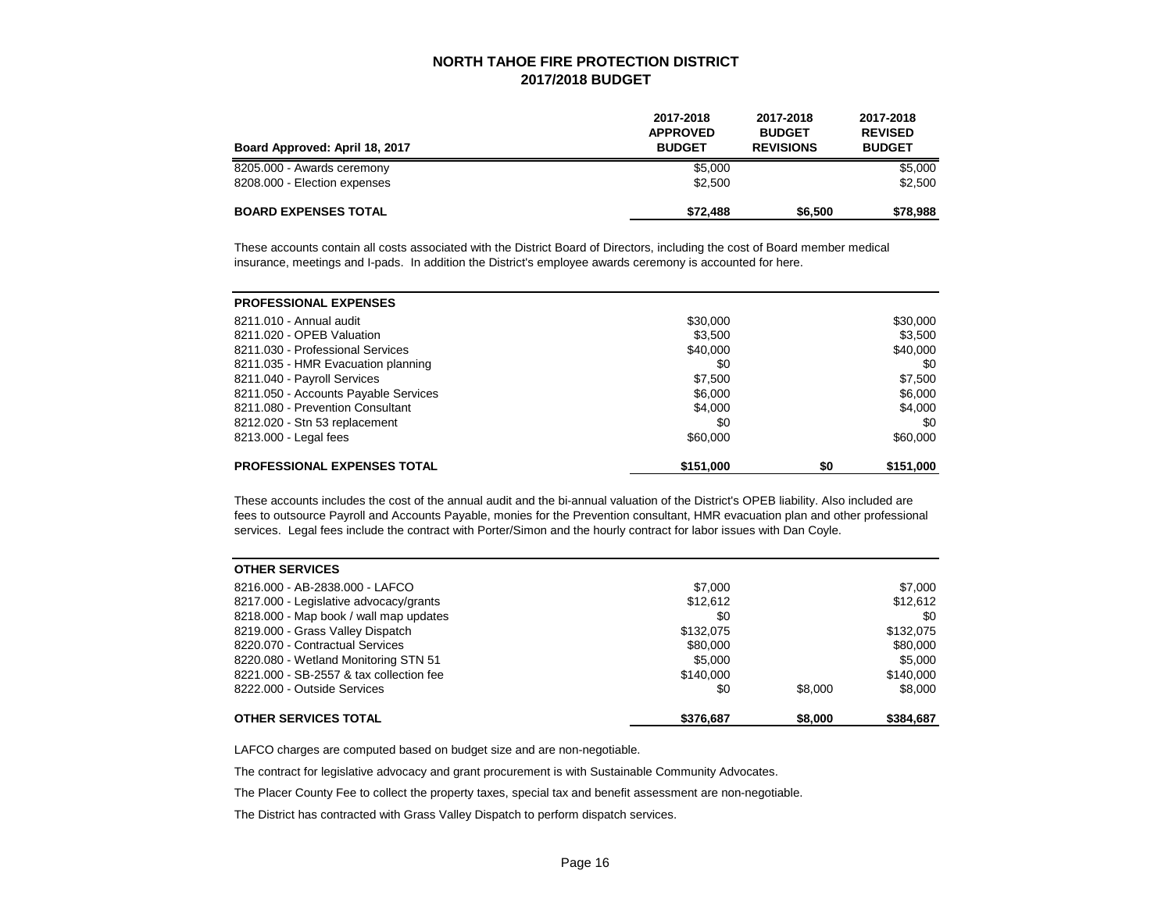| Board Approved: April 18, 2017 | 2017-2018<br><b>APPROVED</b><br><b>BUDGET</b> | 2017-2018<br><b>BUDGET</b><br><b>REVISIONS</b> | 2017-2018<br><b>REVISED</b><br><b>BUDGET</b> |
|--------------------------------|-----------------------------------------------|------------------------------------------------|----------------------------------------------|
| 8205.000 - Awards ceremony     | \$5,000                                       | \$5,000                                        |                                              |
| 8208.000 - Election expenses   | \$2,500                                       |                                                | \$2,500                                      |
| <b>BOARD EXPENSES TOTAL</b>    | \$72.488                                      | \$6,500                                        | \$78,988                                     |

These accounts contain all costs associated with the District Board of Directors, including the cost of Board member medical insurance, meetings and I-pads. In addition the District's employee awards ceremony is accounted for here.

| <b>PROFESSIONAL EXPENSES</b>         |           |     |           |
|--------------------------------------|-----------|-----|-----------|
| 8211.010 - Annual audit              | \$30,000  |     | \$30,000  |
| 8211.020 - OPEB Valuation            | \$3,500   |     | \$3,500   |
| 8211.030 - Professional Services     | \$40,000  |     | \$40,000  |
| 8211.035 - HMR Evacuation planning   | \$0       |     | \$0       |
| 8211.040 - Payroll Services          | \$7,500   |     | \$7,500   |
| 8211.050 - Accounts Payable Services | \$6,000   |     | \$6,000   |
| 8211.080 - Prevention Consultant     | \$4,000   |     | \$4,000   |
| 8212.020 - Stn 53 replacement        | \$0       |     | \$0       |
| 8213.000 - Legal fees                | \$60,000  |     | \$60,000  |
| <b>PROFESSIONAL EXPENSES TOTAL</b>   | \$151,000 | \$0 | \$151,000 |

These accounts includes the cost of the annual audit and the bi-annual valuation of the District's OPEB liability. Also included are fees to outsource Payroll and Accounts Payable, monies for the Prevention consultant, HMR evacuation plan and other professional services. Legal fees include the contract with Porter/Simon and the hourly contract for labor issues with Dan Coyle.

| <b>OTHER SERVICES</b>                   |           |         |           |
|-----------------------------------------|-----------|---------|-----------|
| 8216.000 - AB-2838.000 - LAFCO          | \$7,000   |         | \$7,000   |
| 8217.000 - Legislative advocacy/grants  | \$12,612  |         | \$12,612  |
| 8218.000 - Map book / wall map updates  | \$0       |         | \$0       |
| 8219.000 - Grass Valley Dispatch        | \$132,075 |         | \$132,075 |
| 8220.070 - Contractual Services         | \$80,000  |         | \$80,000  |
| 8220.080 - Wetland Monitoring STN 51    | \$5,000   |         | \$5,000   |
| 8221,000 - SB-2557 & tax collection fee | \$140,000 |         | \$140,000 |
| 8222.000 - Outside Services             | \$0       | \$8,000 | \$8,000   |
| <b>OTHER SERVICES TOTAL</b>             | \$376,687 | \$8,000 | \$384,687 |

LAFCO charges are computed based on budget size and are non-negotiable.

The contract for legislative advocacy and grant procurement is with Sustainable Community Advocates.

The Placer County Fee to collect the property taxes, special tax and benefit assessment are non-negotiable.

The District has contracted with Grass Valley Dispatch to perform dispatch services.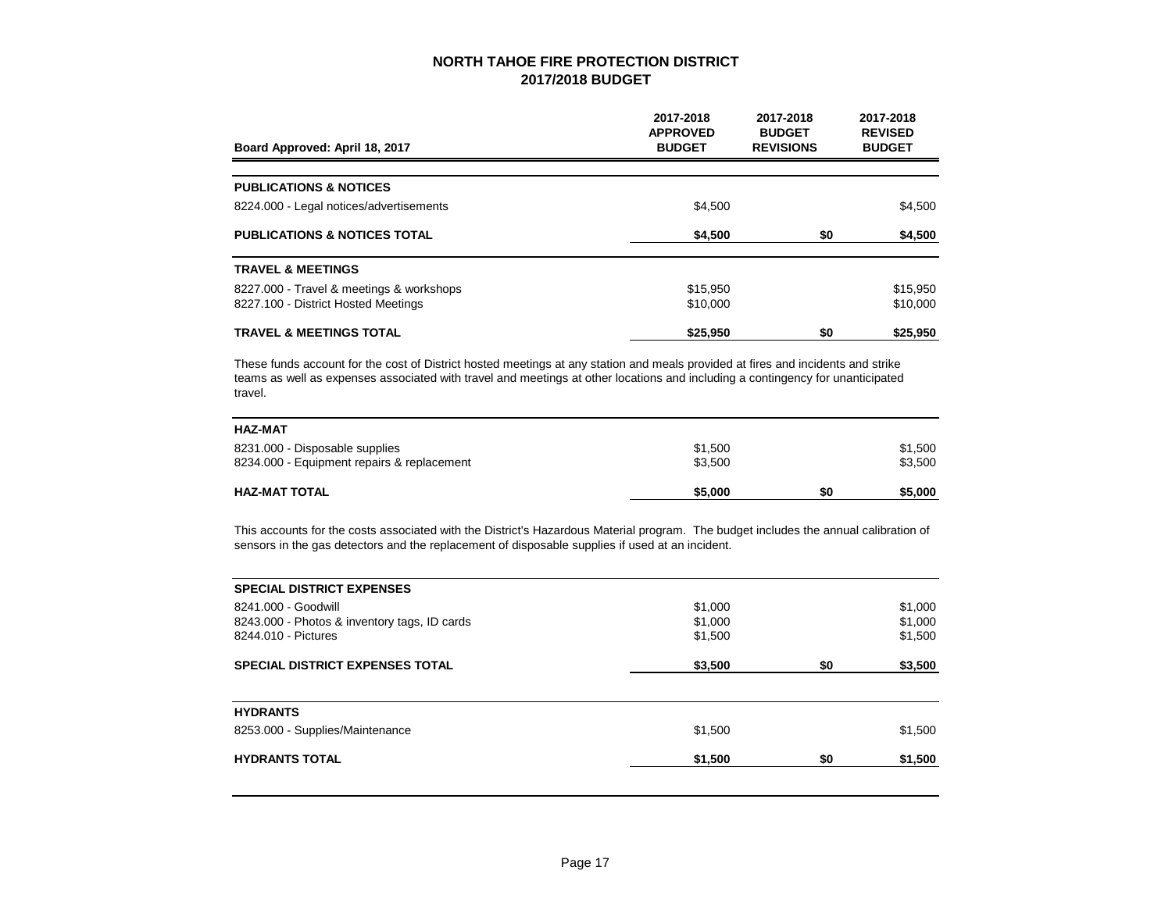| Board Approved: April 18, 2017           | 2017-2018<br><b>APPROVED</b><br><b>BUDGET</b> | 2017-2018<br><b>BUDGET</b><br><b>REVISIONS</b> | 2017-2018<br><b>REVISED</b><br><b>BUDGET</b> |
|------------------------------------------|-----------------------------------------------|------------------------------------------------|----------------------------------------------|
|                                          |                                               |                                                |                                              |
| <b>PUBLICATIONS &amp; NOTICES</b>        |                                               |                                                |                                              |
| 8224.000 - Legal notices/advertisements  | \$4,500                                       |                                                | \$4,500                                      |
| <b>PUBLICATIONS &amp; NOTICES TOTAL</b>  | \$4,500                                       | \$0                                            | \$4,500                                      |
| <b>TRAVEL &amp; MEETINGS</b>             |                                               |                                                |                                              |
| 8227.000 - Travel & meetings & workshops | \$15,950                                      |                                                | \$15,950                                     |
| 8227.100 - District Hosted Meetings      | \$10,000                                      |                                                | \$10,000                                     |
| <b>TRAVEL &amp; MEETINGS TOTAL</b>       | \$25.950                                      | \$0                                            | \$25.950                                     |

These funds account for the cost of District hosted meetings at any station and meals provided at fires and incidents and strike teams as well as expenses associated with travel and meetings at other locations and including a contingency for unanticipated travel.

| <b>HAZ-MAT</b>                             |         |     |         |
|--------------------------------------------|---------|-----|---------|
| 8231.000 - Disposable supplies             | \$1,500 |     | \$1,500 |
| 8234.000 - Equipment repairs & replacement | \$3.500 |     | \$3,500 |
| <b>HAZ-MAT TOTAL</b>                       | \$5,000 | \$0 | \$5,000 |

This accounts for the costs associated with the District's Hazardous Material program. The budget includes the annual calibration of sensors in the gas detectors and the replacement of disposable supplies if used at an incident.

| <b>SPECIAL DISTRICT EXPENSES</b>             |         |     |         |
|----------------------------------------------|---------|-----|---------|
| 8241.000 - Goodwill                          | \$1,000 |     | \$1,000 |
| 8243.000 - Photos & inventory tags, ID cards | \$1,000 |     | \$1,000 |
| 8244.010 - Pictures                          | \$1,500 |     | \$1,500 |
| <b>SPECIAL DISTRICT EXPENSES TOTAL</b>       | \$3,500 | \$0 | \$3,500 |
| <b>HYDRANTS</b>                              |         |     |         |
| 8253.000 - Supplies/Maintenance              | \$1,500 |     | \$1,500 |
| <b>HYDRANTS TOTAL</b>                        | \$1,500 | \$0 | \$1,500 |
|                                              |         |     |         |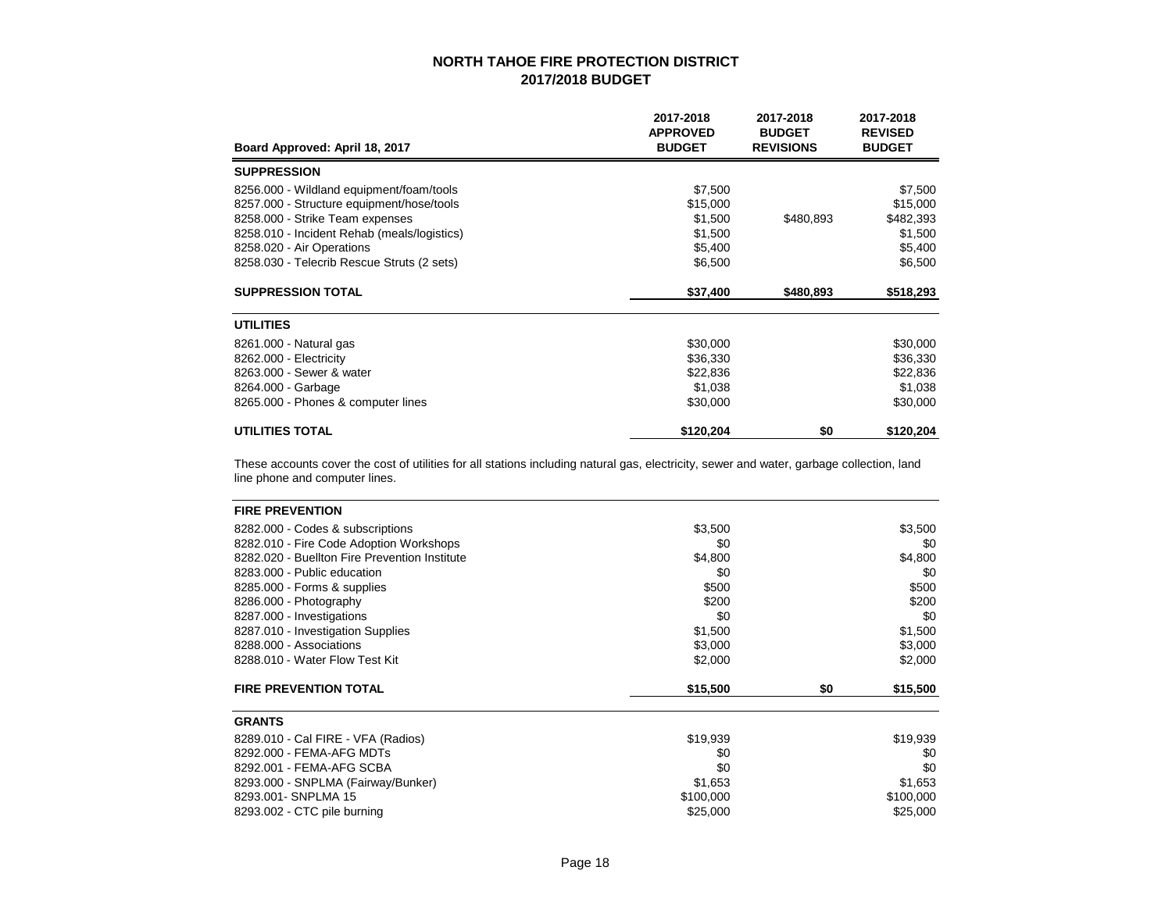| Board Approved: April 18, 2017              | 2017-2018<br><b>APPROVED</b><br><b>BUDGET</b> | 2017-2018<br><b>BUDGET</b><br><b>REVISIONS</b> | 2017-2018<br><b>REVISED</b><br><b>BUDGET</b> |
|---------------------------------------------|-----------------------------------------------|------------------------------------------------|----------------------------------------------|
| <b>SUPPRESSION</b>                          |                                               |                                                |                                              |
| 8256.000 - Wildland equipment/foam/tools    | \$7,500                                       |                                                | \$7,500                                      |
| 8257.000 - Structure equipment/hose/tools   | \$15,000                                      |                                                | \$15,000                                     |
| 8258.000 - Strike Team expenses             | \$1,500                                       | \$480,893                                      | \$482,393                                    |
| 8258.010 - Incident Rehab (meals/logistics) | \$1,500                                       |                                                | \$1,500                                      |
| 8258.020 - Air Operations                   | \$5,400                                       |                                                | \$5,400                                      |
| 8258.030 - Telecrib Rescue Struts (2 sets)  | \$6,500                                       |                                                | \$6,500                                      |
| <b>SUPPRESSION TOTAL</b>                    | \$37,400                                      | \$480,893                                      | \$518,293                                    |
| <b>UTILITIES</b>                            |                                               |                                                |                                              |
| 8261.000 - Natural gas                      | \$30,000                                      |                                                | \$30,000                                     |
| 8262.000 - Electricity                      | \$36,330                                      |                                                | \$36,330                                     |
| 8263,000 - Sewer & water                    | \$22,836                                      |                                                | \$22,836                                     |
| 8264.000 - Garbage                          | \$1,038                                       |                                                | \$1,038                                      |
| 8265.000 - Phones & computer lines          | \$30,000                                      |                                                | \$30,000                                     |
| <b>UTILITIES TOTAL</b>                      | \$120,204                                     | \$0                                            | \$120,204                                    |

These accounts cover the cost of utilities for all stations including natural gas, electricity, sewer and water, garbage collection, land line phone and computer lines.

| <b>FIRE PREVENTION</b>                                       |           |     |           |
|--------------------------------------------------------------|-----------|-----|-----------|
| 8282.000 - Codes & subscriptions                             | \$3,500   |     | \$3,500   |
| 8282.010 - Fire Code Adoption Workshops                      | \$0       |     | \$0       |
| 8282.020 - Buellton Fire Prevention Institute                | \$4,800   |     | \$4,800   |
| 8283,000 - Public education                                  | \$0       |     | \$0       |
| 8285.000 - Forms & supplies                                  | \$500     |     | \$500     |
| 8286.000 - Photography                                       | \$200     |     | \$200     |
| 8287.000 - Investigations                                    | \$0       |     | \$0       |
| 8287.010 - Investigation Supplies<br>8288.000 - Associations | \$1,500   |     | \$1,500   |
|                                                              | \$3,000   |     | \$3,000   |
| 8288.010 - Water Flow Test Kit                               | \$2,000   |     | \$2,000   |
| <b>FIRE PREVENTION TOTAL</b>                                 | \$15,500  | \$0 | \$15,500  |
| <b>GRANTS</b>                                                |           |     |           |
| 8289.010 - Cal FIRE - VFA (Radios)                           | \$19,939  |     | \$19,939  |
| 8292.000 - FEMA-AFG MDTs                                     | \$0       |     | \$0       |
| 8292.001 - FEMA-AFG SCBA                                     | \$0       |     | \$0       |
| 8293.000 - SNPLMA (Fairway/Bunker)                           | \$1,653   |     | \$1,653   |
| 8293.001 - SNPLMA 15                                         | \$100,000 |     | \$100,000 |
| 8293.002 - CTC pile burning                                  | \$25,000  |     | \$25,000  |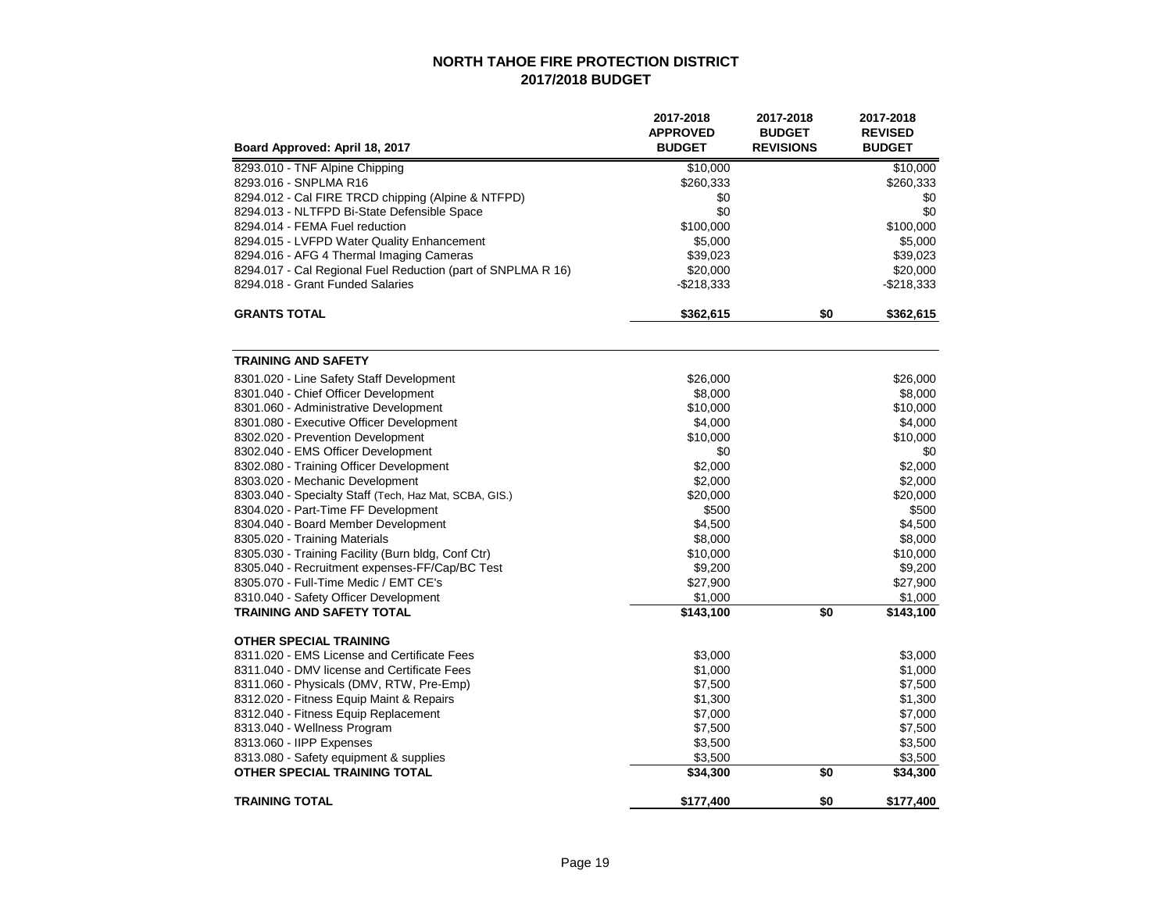| Board Approved: April 18, 2017                               | 2017-2018<br><b>APPROVED</b><br><b>BUDGET</b> | 2017-2018<br><b>BUDGET</b><br><b>REVISIONS</b> | 2017-2018<br><b>REVISED</b><br><b>BUDGET</b> |
|--------------------------------------------------------------|-----------------------------------------------|------------------------------------------------|----------------------------------------------|
|                                                              |                                               |                                                |                                              |
| 8293.010 - TNF Alpine Chipping                               | \$10,000                                      |                                                | \$10,000                                     |
| 8293.016 - SNPLMA R16                                        | \$260,333                                     |                                                | \$260,333                                    |
| 8294.012 - Cal FIRE TRCD chipping (Alpine & NTFPD)           | \$0<br>\$0                                    |                                                | \$0<br>\$0                                   |
| 8294.013 - NLTFPD Bi-State Defensible Space                  |                                               |                                                |                                              |
| 8294.014 - FEMA Fuel reduction                               | \$100,000                                     |                                                | \$100,000                                    |
| 8294.015 - LVFPD Water Quality Enhancement                   | \$5,000                                       |                                                | \$5,000                                      |
| 8294.016 - AFG 4 Thermal Imaging Cameras                     | \$39,023                                      |                                                | \$39,023                                     |
| 8294.017 - Cal Regional Fuel Reduction (part of SNPLMA R 16) | \$20,000                                      |                                                | \$20,000                                     |
| 8294.018 - Grant Funded Salaries                             | $-$218,333$                                   |                                                | $-$218,333$                                  |
| <b>GRANTS TOTAL</b>                                          | \$362,615                                     | \$0                                            | \$362,615                                    |
| <b>TRAINING AND SAFETY</b>                                   |                                               |                                                |                                              |
| 8301.020 - Line Safety Staff Development                     | \$26,000                                      |                                                | \$26,000                                     |
| 8301.040 - Chief Officer Development                         | \$8,000                                       |                                                | \$8,000                                      |
| 8301.060 - Administrative Development                        | \$10,000                                      |                                                | \$10,000                                     |
| 8301.080 - Executive Officer Development                     | \$4,000                                       |                                                | \$4,000                                      |
| 8302.020 - Prevention Development                            | \$10,000                                      |                                                | \$10,000                                     |
| 8302.040 - EMS Officer Development                           | \$0                                           |                                                | \$0                                          |
| 8302.080 - Training Officer Development                      | \$2,000                                       |                                                | \$2,000                                      |
| 8303.020 - Mechanic Development                              | \$2,000                                       |                                                | \$2,000                                      |
| 8303.040 - Specialty Staff (Tech, Haz Mat, SCBA, GIS.)       | \$20,000                                      |                                                | \$20,000                                     |
| 8304.020 - Part-Time FF Development                          | \$500                                         |                                                | \$500                                        |
| 8304.040 - Board Member Development                          | \$4,500                                       |                                                | \$4,500                                      |
| 8305.020 - Training Materials                                | \$8,000                                       |                                                | \$8,000                                      |
| 8305.030 - Training Facility (Burn bldg, Conf Ctr)           | \$10,000                                      |                                                | \$10,000                                     |
| 8305.040 - Recruitment expenses-FF/Cap/BC Test               | \$9,200                                       |                                                | \$9,200                                      |
| 8305.070 - Full-Time Medic / EMT CE's                        | \$27,900                                      |                                                | \$27,900                                     |
| 8310.040 - Safety Officer Development                        | \$1,000                                       |                                                | \$1,000                                      |
| <b>TRAINING AND SAFETY TOTAL</b>                             | $\sqrt{$143,100}$                             | \$0                                            | \$143,100                                    |
| <b>OTHER SPECIAL TRAINING</b>                                |                                               |                                                |                                              |
| 8311.020 - EMS License and Certificate Fees                  | \$3,000                                       |                                                | \$3,000                                      |
| 8311.040 - DMV license and Certificate Fees                  | \$1,000                                       |                                                | \$1,000                                      |
| 8311.060 - Physicals (DMV, RTW, Pre-Emp)                     | \$7,500                                       |                                                | \$7,500                                      |
| 8312.020 - Fitness Equip Maint & Repairs                     | \$1,300                                       |                                                | \$1,300                                      |
| 8312.040 - Fitness Equip Replacement                         | \$7,000                                       |                                                | \$7,000                                      |
| 8313.040 - Wellness Program                                  | \$7,500                                       |                                                | \$7,500                                      |
| 8313.060 - IIPP Expenses                                     | \$3,500                                       |                                                | \$3,500                                      |
| 8313.080 - Safety equipment & supplies                       | \$3,500                                       |                                                | \$3,500                                      |
| OTHER SPECIAL TRAINING TOTAL                                 | \$34,300                                      | \$0                                            | \$34,300                                     |
| <b>TRAINING TOTAL</b>                                        | \$177,400                                     | \$0                                            | \$177,400                                    |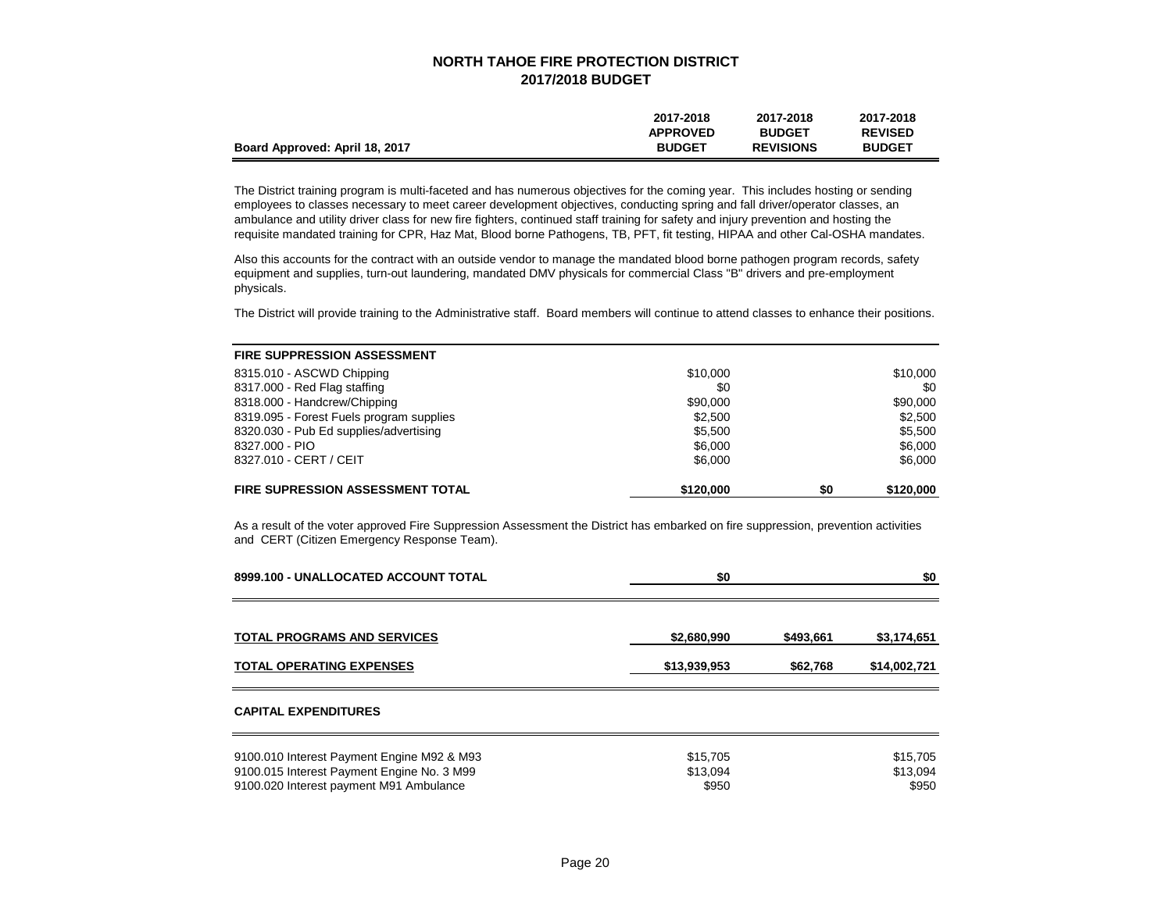|                                | 2017-2018       | 2017-2018        | 2017-2018      |
|--------------------------------|-----------------|------------------|----------------|
|                                | <b>APPROVED</b> | <b>BUDGET</b>    | <b>REVISED</b> |
| Board Approved: April 18, 2017 | <b>BUDGET</b>   | <b>REVISIONS</b> | <b>BUDGET</b>  |

The District training program is multi-faceted and has numerous objectives for the coming year. This includes hosting or sending employees to classes necessary to meet career development objectives, conducting spring and fall driver/operator classes, an ambulance and utility driver class for new fire fighters, continued staff training for safety and injury prevention and hosting the requisite mandated training for CPR, Haz Mat, Blood borne Pathogens, TB, PFT, fit testing, HIPAA and other Cal-OSHA mandates.

Also this accounts for the contract with an outside vendor to manage the mandated blood borne pathogen program records, safety equipment and supplies, turn-out laundering, mandated DMV physicals for commercial Class "B" drivers and pre-employment physicals.

The District will provide training to the Administrative staff. Board members will continue to attend classes to enhance their positions.

| <b>FIRE SUPPRESSION ASSESSMENT</b>       |           |     |           |
|------------------------------------------|-----------|-----|-----------|
| 8315.010 - ASCWD Chipping                | \$10,000  |     | \$10,000  |
| 8317.000 - Red Flag staffing             | \$0       |     | \$0       |
| 8318.000 - Handcrew/Chipping             | \$90,000  |     | \$90,000  |
| 8319.095 - Forest Fuels program supplies | \$2,500   |     | \$2,500   |
| 8320.030 - Pub Ed supplies/advertising   | \$5,500   |     | \$5,500   |
| 8327,000 - PIO                           | \$6,000   |     | \$6,000   |
| 8327.010 - CERT / CEIT                   | \$6,000   |     | \$6,000   |
| <b>FIRE SUPRESSION ASSESSMENT TOTAL</b>  | \$120,000 | \$0 | \$120,000 |

As a result of the voter approved Fire Suppression Assessment the District has embarked on fire suppression, prevention activities and CERT (Citizen Emergency Response Team).

| 8999.100 - UNALLOCATED ACCOUNT TOTAL       | \$0          |           | \$0          |
|--------------------------------------------|--------------|-----------|--------------|
|                                            |              |           |              |
| <b>TOTAL PROGRAMS AND SERVICES</b>         | \$2,680,990  | \$493,661 | \$3,174,651  |
| <b>TOTAL OPERATING EXPENSES</b>            | \$13,939,953 | \$62.768  | \$14,002,721 |
| <b>CAPITAL EXPENDITURES</b>                |              |           |              |
| 9100.010 Interest Payment Engine M92 & M93 | \$15,705     |           | \$15,705     |
| 9100.015 Interest Payment Engine No. 3 M99 | \$13,094     |           | \$13,094     |
| 9100.020 Interest payment M91 Ambulance    | \$950        |           | \$950        |